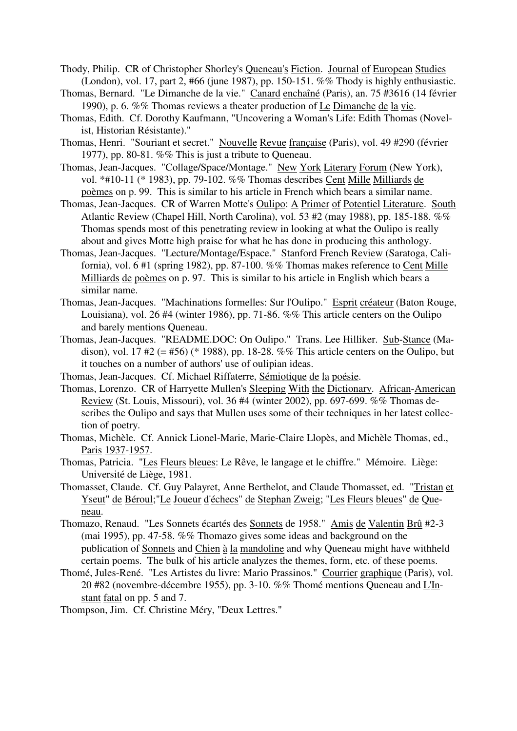- Thody, Philip. CR of Christopher Shorley's Queneau's Fiction. Journal of European Studies (London), vol. 17, part 2, #66 (june 1987), pp. 150-151. %% Thody is highly enthusiastic.
- Thomas, Bernard. "Le Dimanche de la vie." Canard enchaîné (Paris), an. 75 #3616 (14 février 1990), p. 6. %% Thomas reviews a theater production of Le Dimanche de la vie.
- Thomas, Edith. Cf. Dorothy Kaufmann, "Uncovering a Woman's Life: Edith Thomas (Novelist, Historian Résistante)."
- Thomas, Henri. "Souriant et secret." Nouvelle Revue française (Paris), vol. 49 #290 (février 1977), pp. 80-81. %% This is just a tribute to Queneau.
- Thomas, Jean-Jacques. "Collage/Space/Montage." New York Literary Forum (New York), vol. \*#10-11 (\* 1983), pp. 79-102. %% Thomas describes Cent Mille Milliards de poèmes on p. 99. This is similar to his article in French which bears a similar name.
- Thomas, Jean-Jacques. CR of Warren Motte's Oulipo: A Primer of Potentiel Literature. South Atlantic Review (Chapel Hill, North Carolina), vol. 53 #2 (may 1988), pp. 185-188. %% Thomas spends most of this penetrating review in looking at what the Oulipo is really about and gives Motte high praise for what he has done in producing this anthology.
- Thomas, Jean-Jacques. "Lecture/Montage/Espace." Stanford French Review (Saratoga, California), vol. 6 #1 (spring 1982), pp. 87-100. %% Thomas makes reference to Cent Mille Milliards de poèmes on p. 97. This is similar to his article in English which bears a similar name.
- Thomas, Jean-Jacques. "Machinations formelles: Sur l'Oulipo." Esprit créateur (Baton Rouge, Louisiana), vol. 26 #4 (winter 1986), pp. 71-86. %% This article centers on the Oulipo and barely mentions Queneau.
- Thomas, Jean-Jacques. "README.DOC: On Oulipo." Trans. Lee Hilliker. Sub-Stance (Madison), vol. 17  $#2$  (=  $#56$ ) (\* 1988), pp. 18-28. %% This article centers on the Oulipo, but it touches on a number of authors' use of oulipian ideas.
- Thomas, Jean-Jacques. Cf. Michael Riffaterre, Sémiotique de la poésie.
- Thomas, Lorenzo. CR of Harryette Mullen's Sleeping With the Dictionary. African-American Review (St. Louis, Missouri), vol. 36 #4 (winter 2002), pp. 697-699. %% Thomas describes the Oulipo and says that Mullen uses some of their techniques in her latest collection of poetry.
- Thomas, Michèle. Cf. Annick Lionel-Marie, Marie-Claire Llopès, and Michèle Thomas, ed., Paris 1937-1957.
- Thomas, Patricia. "Les Fleurs bleues: Le Rêve, le langage et le chiffre." Mémoire. Liège: Université de Liège, 1981.
- Thomasset, Claude. Cf. Guy Palayret, Anne Berthelot, and Claude Thomasset, ed. "Tristan et Yseut" de Béroul;"Le Joueur d'échecs" de Stephan Zweig; "Les Fleurs bleues" de Queneau.
- Thomazo, Renaud. "Les Sonnets écartés des Sonnets de 1958." Amis de Valentin Brû #2-3 (mai 1995), pp. 47-58. %% Thomazo gives some ideas and background on the publication of Sonnets and Chien à la mandoline and why Queneau might have withheld certain poems. The bulk of his article analyzes the themes, form, etc. of these poems.
- Thomé, Jules-René. "Les Artistes du livre: Mario Prassinos." Courrier graphique (Paris), vol. 20 #82 (novembre-décembre 1955), pp. 3-10. %% Thomé mentions Queneau and L'Instant fatal on pp. 5 and 7.
- Thompson, Jim. Cf. Christine Méry, "Deux Lettres."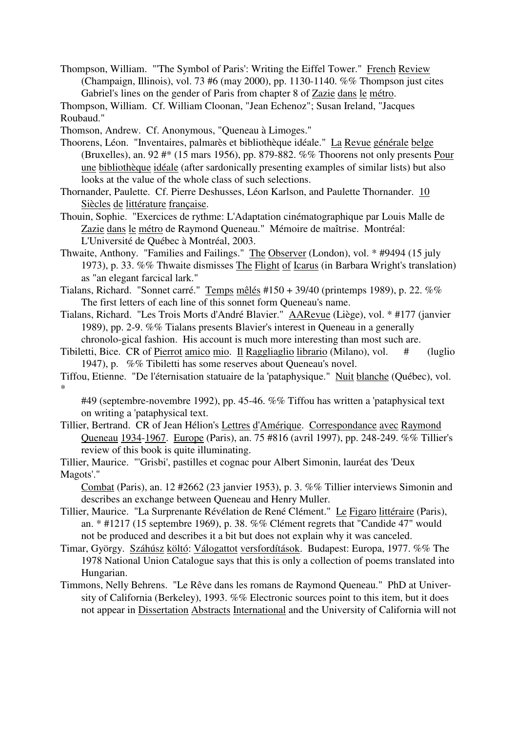Thompson, William. "'The Symbol of Paris': Writing the Eiffel Tower." French Review (Champaign, Illinois), vol. 73 #6 (may 2000), pp. 1130-1140. %% Thompson just cites Gabriel's lines on the gender of Paris from chapter 8 of Zazie dans le métro.

Thompson, William. Cf. William Cloonan, "Jean Echenoz"; Susan Ireland, "Jacques Roubaud."

Thomson, Andrew. Cf. Anonymous, "Queneau à Limoges."

Thoorens, Léon. "Inventaires, palmarès et bibliothèque idéale." La Revue générale belge (Bruxelles), an. 92 #\* (15 mars 1956), pp. 879-882. %% Thoorens not only presents Pour une bibliothèque idéale (after sardonically presenting examples of similar lists) but also looks at the value of the whole class of such selections.

Thornander, Paulette. Cf. Pierre Deshusses, Léon Karlson, and Paulette Thornander. 10 Siècles de littérature française.

Thouin, Sophie. "Exercices de rythme: L'Adaptation cinématographique par Louis Malle de Zazie dans le métro de Raymond Queneau." Mémoire de maîtrise. Montréal: L'Université de Québec à Montréal, 2003.

Thwaite, Anthony. "Families and Failings." The Observer (London), vol. \* #9494 (15 july 1973), p. 33. %% Thwaite dismisses The Flight of Icarus (in Barbara Wright's translation) as "an elegant farcical lark."

Tialans, Richard. "Sonnet carré." Temps mêlés  $\#150 + 39/40$  (printemps 1989), p. 22. %% The first letters of each line of this sonnet form Queneau's name.

Tialans, Richard. "Les Trois Morts d'André Blavier." AARevue (Liège), vol. \* #177 (janvier 1989), pp. 2-9. %% Tialans presents Blavier's interest in Queneau in a generally chronolo-gical fashion. His account is much more interesting than most such are.

Tibiletti, Bice. CR of Pierrot amico mio. Il Raggliaglio librario (Milano), vol. # (luglio 1947), p. %% Tibiletti has some reserves about Queneau's novel.

Tiffou, Etienne. "De l'éternisation statuaire de la 'pataphysique." Nuit blanche (Québec), vol. \*

#49 (septembre-novembre 1992), pp. 45-46. %% Tiffou has written a 'pataphysical text on writing a 'pataphysical text.

Tillier, Bertrand. CR of Jean Hélion's Lettres d'Amérique. Correspondance avec Raymond Queneau 1934-1967. Europe (Paris), an. 75 #816 (avril 1997), pp. 248-249. %% Tillier's review of this book is quite illuminating.

Tillier, Maurice. "'Grisbi', pastilles et cognac pour Albert Simonin, lauréat des 'Deux Magots'."

Combat (Paris), an. 12 #2662 (23 janvier 1953), p. 3. %% Tillier interviews Simonin and describes an exchange between Queneau and Henry Muller.

Tillier, Maurice. "La Surprenante Révélation de René Clément." Le Figaro littéraire (Paris), an. \* #1217 (15 septembre 1969), p. 38. %% Clément regrets that "Candide 47" would not be produced and describes it a bit but does not explain why it was canceled.

Timar, György. Száhúsz költó: Válogattot versfordítások. Budapest: Europa, 1977. %% The 1978 National Union Catalogue says that this is only a collection of poems translated into Hungarian.

Timmons, Nelly Behrens. "Le Rêve dans les romans de Raymond Queneau." PhD at University of California (Berkeley), 1993. %% Electronic sources point to this item, but it does not appear in Dissertation Abstracts International and the University of California will not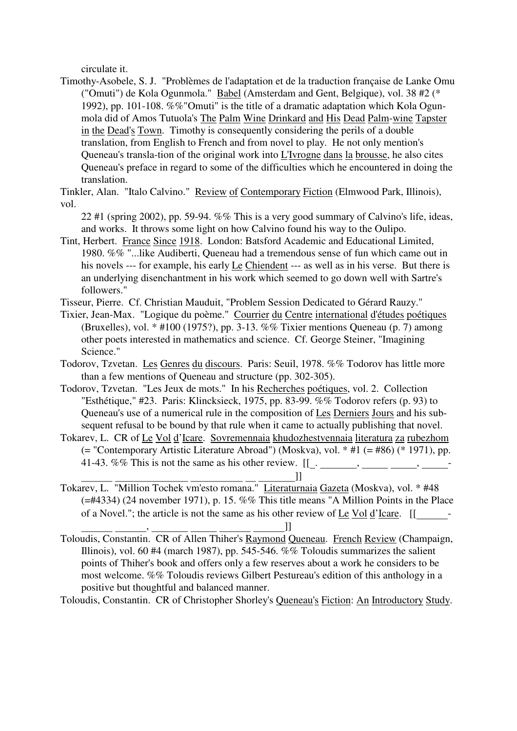circulate it.

Timothy-Asobele, S. J. "Problèmes de l'adaptation et de la traduction française de Lanke Omu ("Omuti") de Kola Ogunmola." Babel (Amsterdam and Gent, Belgique), vol. 38 #2 (\* 1992), pp. 101-108. %%"Omuti" is the title of a dramatic adaptation which Kola Ogunmola did of Amos Tutuola's The Palm Wine Drinkard and His Dead Palm-wine Tapster in the Dead's Town. Timothy is consequently considering the perils of a double translation, from English to French and from novel to play. He not only mention's Queneau's transla-tion of the original work into L'Ivrogne dans la brousse, he also cites Queneau's preface in regard to some of the difficulties which he encountered in doing the translation.

Tinkler, Alan. "Italo Calvino." Review of Contemporary Fiction (Elmwood Park, Illinois), vol.

22 #1 (spring 2002), pp. 59-94.  $\%$ % This is a very good summary of Calvino's life, ideas, and works. It throws some light on how Calvino found his way to the Oulipo.

Tint, Herbert. France Since 1918. London: Batsford Academic and Educational Limited, 1980. %% "...like Audiberti, Queneau had a tremendous sense of fun which came out in his novels --- for example, his early Le Chiendent --- as well as in his verse. But there is an underlying disenchantment in his work which seemed to go down well with Sartre's followers."

Tisseur, Pierre. Cf. Christian Mauduit, "Problem Session Dedicated to Gérard Rauzy."

Tixier, Jean-Max. "Logique du poème." Courrier du Centre international d'études poétiques (Bruxelles), vol. \* #100 (1975?), pp. 3-13. %% Tixier mentions Queneau (p. 7) among other poets interested in mathematics and science. Cf. George Steiner, "Imagining Science."

- Todorov, Tzvetan. Les Genres du discours. Paris: Seuil, 1978. %% Todorov has little more than a few mentions of Queneau and structure (pp. 302-305).
- Todorov, Tzvetan. "Les Jeux de mots." In his Recherches poétiques, vol. 2. Collection "Esthétique," #23. Paris: Klincksieck, 1975, pp. 83-99. %% Todorov refers (p. 93) to Queneau's use of a numerical rule in the composition of Les Derniers Jours and his subsequent refusal to be bound by that rule when it came to actually publishing that novel.
- Tokarev, L. CR of Le Vol d'Icare. Sovremennaia khudozhestvennaia literatura za rubezhom (= "Contemporary Artistic Literature Abroad") (Moskva), vol. \* #1 (= #86) (\* 1971), pp. 41-43. %% This is not the same as his other review. [[\_. \_\_\_\_\_\_\_, \_\_\_\_\_ \_\_\_\_\_, \_\_\_\_\_-
- Tokarev, L. "Million Tochek vm'esto romana." <u>Literaturnaia Gazeta</u> (Moskva), vol. \* #48 (=#4334) (24 november 1971), p. 15. %% This title means "A Million Points in the Place of a Novel."; the article is not the same as his other review of Le Vol d'Icare. [[\_\_\_\_\_\_-

Toloudis, Constantin. CR of Allen Thiher's Raymond Queneau. French Review (Champaign, Illinois), vol. 60 #4 (march 1987), pp. 545-546. %% Toloudis summarizes the salient points of Thiher's book and offers only a few reserves about a work he considers to be most welcome. %% Toloudis reviews Gilbert Pestureau's edition of this anthology in a positive but thoughtful and balanced manner.

Toloudis, Constantin. CR of Christopher Shorley's Queneau's Fiction: An Introductory Study.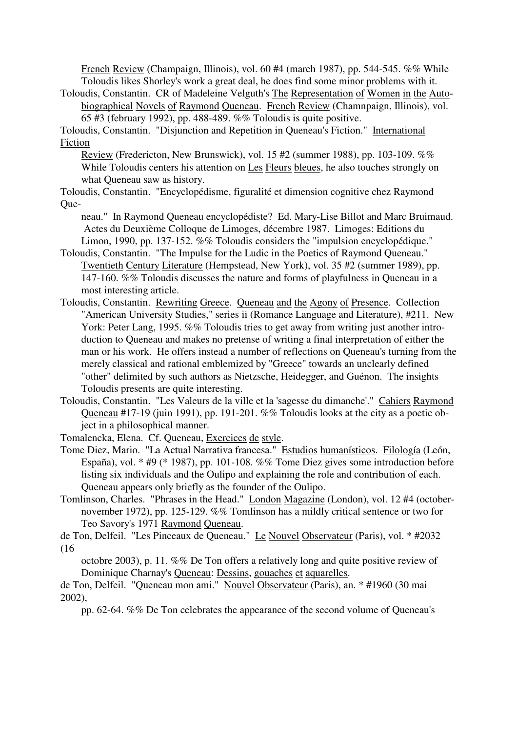French Review (Champaign, Illinois), vol. 60 #4 (march 1987), pp. 544-545. %% While Toloudis likes Shorley's work a great deal, he does find some minor problems with it.

Toloudis, Constantin. CR of Madeleine Velguth's The Representation of Women in the Autobiographical Novels of Raymond Queneau. French Review (Chamnpaign, Illinois), vol. 65 #3 (february 1992), pp. 488-489. %% Toloudis is quite positive.

Toloudis, Constantin. "Disjunction and Repetition in Queneau's Fiction." International Fiction

Review (Fredericton, New Brunswick), vol. 15 #2 (summer 1988), pp. 103-109. %% While Toloudis centers his attention on Les Fleurs bleues, he also touches strongly on what Queneau saw as history.

Toloudis, Constantin. "Encyclopédisme, figuralité et dimension cognitive chez Raymond Que-

neau." In Raymond Queneau encyclopédiste? Ed. Mary-Lise Billot and Marc Bruimaud. Actes du Deuxième Colloque de Limoges, décembre 1987. Limoges: Editions du Limon, 1990, pp. 137-152. %% Toloudis considers the "impulsion encyclopédique."

- Toloudis, Constantin. "The Impulse for the Ludic in the Poetics of Raymond Queneau." Twentieth Century Literature (Hempstead, New York), vol. 35 #2 (summer 1989), pp. 147-160. %% Toloudis discusses the nature and forms of playfulness in Queneau in a most interesting article.
- Toloudis, Constantin. Rewriting Greece. Queneau and the Agony of Presence. Collection "American University Studies," series ii (Romance Language and Literature), #211. New York: Peter Lang, 1995. %% Toloudis tries to get away from writing just another introduction to Queneau and makes no pretense of writing a final interpretation of either the man or his work. He offers instead a number of reflections on Queneau's turning from the merely classical and rational emblemized by "Greece" towards an unclearly defined "other" delimited by such authors as Nietzsche, Heidegger, and Guénon. The insights Toloudis presents are quite interesting.
- Toloudis, Constantin. "Les Valeurs de la ville et la 'sagesse du dimanche'." Cahiers Raymond Queneau #17-19 (juin 1991), pp. 191-201. %% Toloudis looks at the city as a poetic object in a philosophical manner.
- Tomalencka, Elena. Cf. Queneau, Exercices de style.
- Tome Diez, Mario. "La Actual Narrativa francesa." Estudios humanísticos. Filología (León, España), vol. \* #9 (\* 1987), pp. 101-108. %% Tome Diez gives some introduction before listing six individuals and the Oulipo and explaining the role and contribution of each. Queneau appears only briefly as the founder of the Oulipo.
- Tomlinson, Charles. "Phrases in the Head." London Magazine (London), vol. 12 #4 (octobernovember 1972), pp. 125-129. %% Tomlinson has a mildly critical sentence or two for Teo Savory's 1971 Raymond Queneau.

de Ton, Delfeil. "Les Pinceaux de Queneau." Le Nouvel Observateur (Paris), vol. \* #2032 (16

octobre 2003), p. 11. %% De Ton offers a relatively long and quite positive review of Dominique Charnay's Queneau: Dessins, gouaches et aquarelles.

de Ton, Delfeil. "Queneau mon ami." Nouvel Observateur (Paris), an. \* #1960 (30 mai 2002),

pp. 62-64. %% De Ton celebrates the appearance of the second volume of Queneau's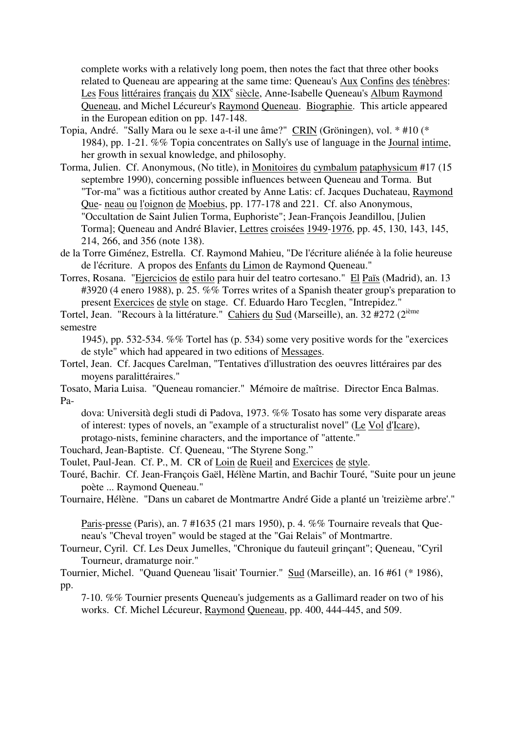complete works with a relatively long poem, then notes the fact that three other books related to Queneau are appearing at the same time: Queneau's Aux Confins des ténèbres: Les Fous littéraires français du XIX<sup>e</sup> siècle, Anne-Isabelle Queneau's Album Raymond Queneau, and Michel Lécureur's Raymond Queneau. Biographie. This article appeared in the European edition on pp. 147-148.

- Topia, André. "Sally Mara ou le sexe a-t-il une âme?" CRIN (Gröningen), vol. \* #10 (\* 1984), pp. 1-21. %% Topia concentrates on Sally's use of language in the Journal intime, her growth in sexual knowledge, and philosophy.
- Torma, Julien. Cf. Anonymous, (No title), in Monitoires du cymbalum pataphysicum #17 (15 septembre 1990), concerning possible influences between Queneau and Torma. But "Tor-ma" was a fictitious author created by Anne Latis: cf. Jacques Duchateau, Raymond Que- neau ou l'oignon de Moebius, pp. 177-178 and 221. Cf. also Anonymous, "Occultation de Saint Julien Torma, Euphoriste"; Jean-François Jeandillou, [Julien Torma]; Queneau and André Blavier, Lettres croisées 1949-1976, pp. 45, 130, 143, 145, 214, 266, and 356 (note 138).
- de la Torre Giménez, Estrella. Cf. Raymond Mahieu, "De l'écriture aliénée à la folie heureuse de l'écriture. A propos des Enfants du Limon de Raymond Queneau."
- Torres, Rosana. "Ejercicios de estilo para huir del teatro cortesano." El Païs (Madrid), an. 13 #3920 (4 enero 1988), p. 25. %% Torres writes of a Spanish theater group's preparation to present Exercices de style on stage. Cf. Eduardo Haro Tecglen, "Intrepidez."
- Tortel, Jean. "Recours à la littérature." Cahiers du Sud (Marseille), an. 32 #272 (2ième semestre
	- 1945), pp. 532-534. %% Tortel has (p. 534) some very positive words for the "exercices de style" which had appeared in two editions of Messages.
- Tortel, Jean. Cf. Jacques Carelman, "Tentatives d'illustration des oeuvres littéraires par des moyens paralittéraires."
- Tosato, Maria Luisa. "Queneau romancier." Mémoire de maîtrise. Director Enca Balmas. Pa
	- dova: Università degli studi di Padova, 1973. %% Tosato has some very disparate areas of interest: types of novels, an "example of a structuralist novel" (Le Vol d'Icare), protago-nists, feminine characters, and the importance of "attente."
- Touchard, Jean-Baptiste. Cf. Queneau, "The Styrene Song."
- Toulet, Paul-Jean. Cf. P., M. CR of Loin de Rueil and Exercices de style.
- Touré, Bachir. Cf. Jean-François Gaël, Hélène Martin, and Bachir Touré, "Suite pour un jeune poète ... Raymond Queneau."
- Tournaire, Hélène. "Dans un cabaret de Montmartre André Gide a planté un 'treizième arbre'."
	- Paris-presse (Paris), an. 7 #1635 (21 mars 1950), p. 4. %% Tournaire reveals that Queneau's "Cheval troyen" would be staged at the "Gai Relais" of Montmartre.
- Tourneur, Cyril. Cf. Les Deux Jumelles, "Chronique du fauteuil grinçant"; Queneau, "Cyril Tourneur, dramaturge noir."
- Tournier, Michel. "Quand Queneau 'lisait' Tournier." Sud (Marseille), an. 16 #61 (\* 1986), pp.
	- 7-10. %% Tournier presents Queneau's judgements as a Gallimard reader on two of his works. Cf. Michel Lécureur, Raymond Queneau, pp. 400, 444-445, and 509.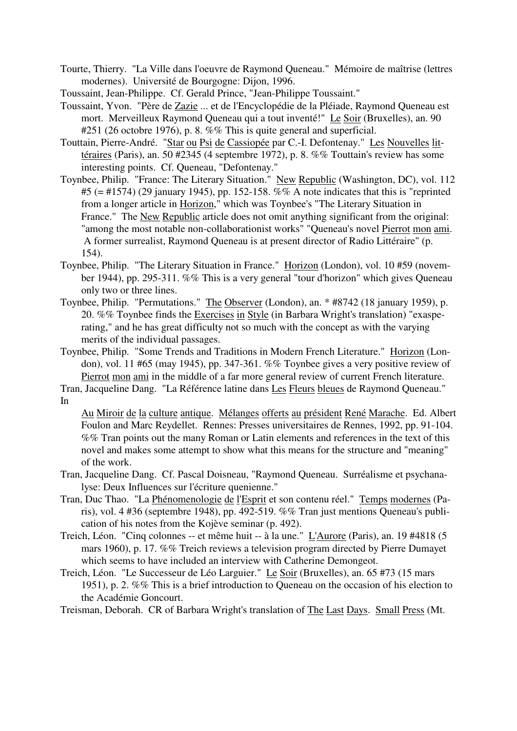- Tourte, Thierry. "La Ville dans l'oeuvre de Raymond Queneau." Mémoire de maîtrise (lettres modernes). Université de Bourgogne: Dijon, 1996.
- Toussaint, Jean-Philippe. Cf. Gerald Prince, "Jean-Philippe Toussaint."
- Toussaint, Yvon. "Père de Zazie ... et de l'Encyclopédie de la Pléiade, Raymond Queneau est mort. Merveilleux Raymond Queneau qui a tout inventé!" Le Soir (Bruxelles), an. 90 #251 (26 octobre 1976), p. 8. %% This is quite general and superficial.
- Touttain, Pierre-André. "Star ou Psi de Cassiopée par C.-I. Defontenay." Les Nouvelles littéraires (Paris), an. 50 #2345 (4 septembre 1972), p. 8. %% Touttain's review has some interesting points. Cf. Queneau, "Defontenay."
- Toynbee, Philip. "France: The Literary Situation." New Republic (Washington, DC), vol. 112 #5 (= #1574) (29 january 1945), pp. 152-158. %% A note indicates that this is "reprinted from a longer article in Horizon," which was Toynbee's "The Literary Situation in France." The New Republic article does not omit anything significant from the original: "among the most notable non-collaborationist works" "Queneau's novel Pierrot mon ami. A former surrealist, Raymond Queneau is at present director of Radio Littéraire" (p. 154).
- Toynbee, Philip. "The Literary Situation in France." Horizon (London), vol. 10 #59 (november 1944), pp. 295-311. %% This is a very general "tour d'horizon" which gives Queneau only two or three lines.
- Toynbee, Philip. "Permutations." The Observer (London), an. \* #8742 (18 january 1959), p. 20. %% Toynbee finds the Exercises in Style (in Barbara Wright's translation) "exasperating," and he has great difficulty not so much with the concept as with the varying merits of the individual passages.
- Toynbee, Philip. "Some Trends and Traditions in Modern French Literature." Horizon (London), vol. 11 #65 (may 1945), pp. 347-361. %% Toynbee gives a very positive review of Pierrot mon ami in the middle of a far more general review of current French literature.
- Tran, Jacqueline Dang. "La Référence latine dans Les Fleurs bleues de Raymond Queneau." In

Au Miroir de la culture antique. Mélanges offerts au président René Marache. Ed. Albert Foulon and Marc Reydellet. Rennes: Presses universitaires de Rennes, 1992, pp. 91-104. %% Tran points out the many Roman or Latin elements and references in the text of this novel and makes some attempt to show what this means for the structure and "meaning" of the work.

- Tran, Jacqueline Dang. Cf. Pascal Doisneau, "Raymond Queneau. Surréalisme et psychanalyse: Deux Influences sur l'écriture quenienne."
- Tran, Duc Thao. "La Phénomenologie de l'Esprit et son contenu réel." Temps modernes (Paris), vol. 4 #36 (septembre 1948), pp. 492-519. %% Tran just mentions Queneau's publication of his notes from the Kojève seminar (p. 492).
- Treich, Léon. "Cinq colonnes -- et même huit -- à la une." L'Aurore (Paris), an. 19 #4818 (5 mars 1960), p. 17. %% Treich reviews a television program directed by Pierre Dumayet which seems to have included an interview with Catherine Demongeot.
- Treich, Léon. "Le Successeur de Léo Larguier." Le Soir (Bruxelles), an. 65 #73 (15 mars 1951), p. 2. %% This is a brief introduction to Queneau on the occasion of his election to the Académie Goncourt.

Treisman, Deborah. CR of Barbara Wright's translation of The Last Days. Small Press (Mt.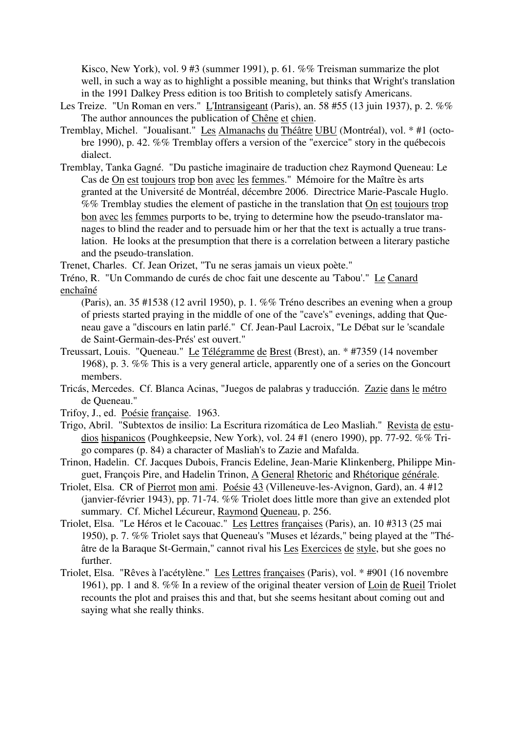Kisco, New York), vol. 9 #3 (summer 1991), p. 61. %% Treisman summarize the plot well, in such a way as to highlight a possible meaning, but thinks that Wright's translation in the 1991 Dalkey Press edition is too British to completely satisfy Americans.

- Les Treize. "Un Roman en vers." L'Intransigeant (Paris), an. 58 #55 (13 juin 1937), p. 2. %% The author announces the publication of Chêne et chien.
- Tremblay, Michel. "Joualisant." Les Almanachs du Théâtre UBU (Montréal), vol. \* #1 (octobre 1990), p. 42. %% Tremblay offers a version of the "exercice" story in the québecois dialect.
- Tremblay, Tanka Gagné. "Du pastiche imaginaire de traduction chez Raymond Queneau: Le Cas de On est toujours trop bon avec les femmes." Mémoire for the Maître ès arts granted at the Université de Montréal, décembre 2006. Directrice Marie-Pascale Huglo. %% Tremblay studies the element of pastiche in the translation that On est toujours trop bon avec les femmes purports to be, trying to determine how the pseudo-translator manages to blind the reader and to persuade him or her that the text is actually a true translation. He looks at the presumption that there is a correlation between a literary pastiche and the pseudo-translation.

Trenet, Charles. Cf. Jean Orizet, "Tu ne seras jamais un vieux poète."

- Tréno, R. "Un Commando de curés de choc fait une descente au 'Tabou'." Le Canard enchaîné
	- (Paris), an. 35 #1538 (12 avril 1950), p. 1. %% Tréno describes an evening when a group of priests started praying in the middle of one of the "cave's" evenings, adding that Queneau gave a "discours en latin parlé." Cf. Jean-Paul Lacroix, "Le Débat sur le 'scandale de Saint-Germain-des-Prés' est ouvert."
- Treussart, Louis. "Queneau." Le Télégramme de Brest (Brest), an. \* #7359 (14 november 1968), p. 3. %% This is a very general article, apparently one of a series on the Goncourt members.
- Tricás, Mercedes. Cf. Blanca Acinas, "Juegos de palabras y traducción. Zazie dans le métro de Queneau."
- Trifoy, J., ed. Poésie française. 1963.
- Trigo, Abril. "Subtextos de insilio: La Escritura rizomática de Leo Masliah." Revista de estudios hispanicos (Poughkeepsie, New York), vol. 24 #1 (enero 1990), pp. 77-92. %% Trigo compares (p. 84) a character of Masliah's to Zazie and Mafalda.
- Trinon, Hadelin. Cf. Jacques Dubois, Francis Edeline, Jean-Marie Klinkenberg, Philippe Minguet, François Pire, and Hadelin Trinon, A General Rhetoric and Rhétorique générale.
- Triolet, Elsa. CR of Pierrot mon ami. Poésie 43 (Villeneuve-les-Avignon, Gard), an. 4 #12 (janvier-février 1943), pp. 71-74. %% Triolet does little more than give an extended plot summary. Cf. Michel Lécureur, Raymond Queneau, p. 256.
- Triolet, Elsa. "Le Héros et le Cacouac." Les Lettres françaises (Paris), an. 10 #313 (25 mai 1950), p. 7. %% Triolet says that Queneau's "Muses et lézards," being played at the "Théâtre de la Baraque St-Germain," cannot rival his Les Exercices de style, but she goes no further.
- Triolet, Elsa. "Rêves à l'acétylène." Les Lettres françaises (Paris), vol. \* #901 (16 novembre 1961), pp. 1 and 8. %% In a review of the original theater version of Loin de Rueil Triolet recounts the plot and praises this and that, but she seems hesitant about coming out and saying what she really thinks.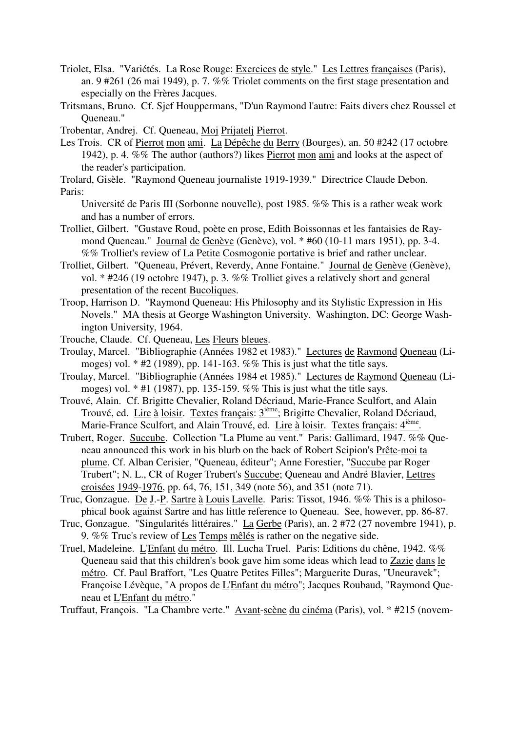- Triolet, Elsa. "Variétés. La Rose Rouge: Exercices de style." Les Lettres françaises (Paris), an. 9 #261 (26 mai 1949), p. 7. %% Triolet comments on the first stage presentation and especially on the Frères Jacques.
- Tritsmans, Bruno. Cf. Sjef Houppermans, "D'un Raymond l'autre: Faits divers chez Roussel et Queneau."

Trobentar, Andrej. Cf. Queneau, Moj Prijatelj Pierrot.

Les Trois. CR of Pierrot mon ami. La Dépêche du Berry (Bourges), an. 50 #242 (17 octobre 1942), p. 4. %% The author (authors?) likes Pierrot mon ami and looks at the aspect of the reader's participation.

Trolard, Gisèle. "Raymond Queneau journaliste 1919-1939." Directrice Claude Debon. Paris:

Université de Paris III (Sorbonne nouvelle), post 1985. %% This is a rather weak work and has a number of errors.

- Trolliet, Gilbert. "Gustave Roud, poète en prose, Edith Boissonnas et les fantaisies de Raymond Queneau." Journal de Genève (Genève), vol. \* #60 (10-11 mars 1951), pp. 3-4. %% Trolliet's review of La Petite Cosmogonie portative is brief and rather unclear.
- Trolliet, Gilbert. "Queneau, Prévert, Reverdy, Anne Fontaine." Journal de Genève (Genève), vol. \* #246 (19 octobre 1947), p. 3. %% Trolliet gives a relatively short and general presentation of the recent Bucoliques.
- Troop, Harrison D. "Raymond Queneau: His Philosophy and its Stylistic Expression in His Novels." MA thesis at George Washington University. Washington, DC: George Washington University, 1964.
- Trouche, Claude. Cf. Queneau, Les Fleurs bleues.
- Troulay, Marcel. "Bibliographie (Années 1982 et 1983)." Lectures de Raymond Queneau (Limoges) vol.  $*$  #2 (1989), pp. 141-163. %% This is just what the title says.
- Troulay, Marcel. "Bibliographie (Années 1984 et 1985)." Lectures de Raymond Queneau (Limoges) vol.  $*$  #1 (1987), pp. 135-159. %% This is just what the title says.
- Trouvé, Alain. Cf. Brigitte Chevalier, Roland Décriaud, Marie-France Sculfort, and Alain Trouvé, ed. Lire à loisir. Textes français: 3<sup>ième</sup>; Brigitte Chevalier, Roland Décriaud, Marie-France Sculfort, and Alain Trouvé, ed. Lire à loisir. Textes français: 4<sup>ième</sup>.
- Trubert, Roger. Succube. Collection "La Plume au vent." Paris: Gallimard, 1947. %% Queneau announced this work in his blurb on the back of Robert Scipion's Prête-moi ta plume. Cf. Alban Cerisier, "Queneau, éditeur"; Anne Forestier, "Succube par Roger Trubert"; N. L., CR of Roger Trubert's Succube; Queneau and André Blavier, Lettres croisées 1949-1976, pp. 64, 76, 151, 349 (note 56), and 351 (note 71).
- Truc, Gonzague. De J.-P. Sartre à Louis Lavelle. Paris: Tissot, 1946. %% This is a philosophical book against Sartre and has little reference to Queneau. See, however, pp. 86-87.
- Truc, Gonzague. "Singularités littéraires." La Gerbe (Paris), an. 2 #72 (27 novembre 1941), p. 9. %% Truc's review of Les Temps mêlés is rather on the negative side.
- Truel, Madeleine. L'Enfant du métro. Ill. Lucha Truel. Paris: Editions du chêne, 1942. %% Queneau said that this children's book gave him some ideas which lead to Zazie dans le métro. Cf. Paul Braffort, "Les Quatre Petites Filles"; Marguerite Duras, "Uneuravek"; Françoise Lévèque, "A propos de L'Enfant du métro"; Jacques Roubaud, "Raymond Queneau et L'Enfant du métro."

Truffaut, François. "La Chambre verte." Avant-scène du cinéma (Paris), vol. \* #215 (novem-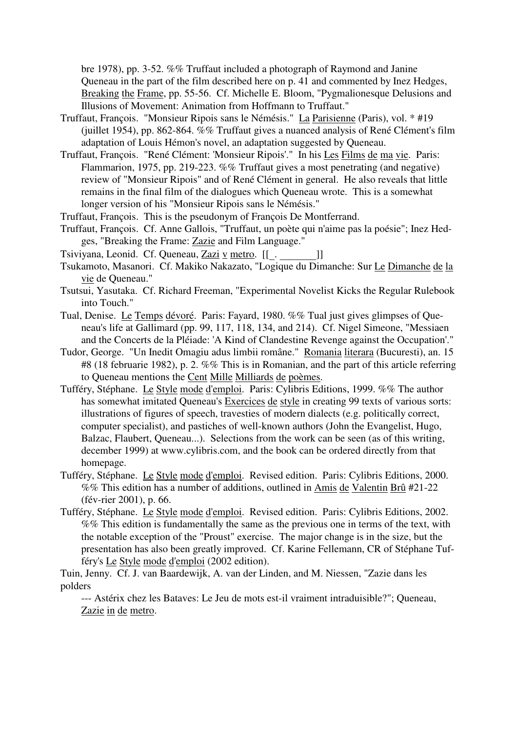bre 1978), pp. 3-52. %% Truffaut included a photograph of Raymond and Janine Queneau in the part of the film described here on p. 41 and commented by Inez Hedges, Breaking the Frame, pp. 55-56. Cf. Michelle E. Bloom, "Pygmalionesque Delusions and Illusions of Movement: Animation from Hoffmann to Truffaut."

- Truffaut, François. "Monsieur Ripois sans le Némésis." La Parisienne (Paris), vol. \* #19 (juillet 1954), pp. 862-864. %% Truffaut gives a nuanced analysis of René Clément's film adaptation of Louis Hémon's novel, an adaptation suggested by Queneau.
- Truffaut, François. "René Clément: 'Monsieur Ripois'." In his Les Films de ma vie. Paris: Flammarion, 1975, pp. 219-223. %% Truffaut gives a most penetrating (and negative) review of "Monsieur Ripois" and of René Clément in general. He also reveals that little remains in the final film of the dialogues which Queneau wrote. This is a somewhat longer version of his "Monsieur Ripois sans le Némésis."
- Truffaut, François. This is the pseudonym of François De Montferrand.
- Truffaut, François. Cf. Anne Gallois, "Truffaut, un poète qui n'aime pas la poésie"; Inez Hedges, "Breaking the Frame: Zazie and Film Language."
- Tsiviyana, Leonid. Cf. Queneau, Zazi v metro. [[\_. \_\_\_\_\_\_\_]]
- Tsukamoto, Masanori. Cf. Makiko Nakazato, "Logique du Dimanche: Sur Le Dimanche de la vie de Queneau."
- Tsutsui, Yasutaka. Cf. Richard Freeman, "Experimental Novelist Kicks the Regular Rulebook into Touch."
- Tual, Denise. Le Temps dévoré. Paris: Fayard, 1980. %% Tual just gives glimpses of Queneau's life at Gallimard (pp. 99, 117, 118, 134, and 214). Cf. Nigel Simeone, "Messiaen and the Concerts de la Pléiade: 'A Kind of Clandestine Revenge against the Occupation'."
- Tudor, George. "Un Inedit Omagiu adus limbii române." Romania literara (Bucuresti), an. 15 #8 (18 februarie 1982), p. 2. %% This is in Romanian, and the part of this article referring to Queneau mentions the Cent Mille Milliards de poèmes.
- Tufféry, Stéphane. Le Style mode d'emploi. Paris: Cylibris Editions, 1999. %% The author has somewhat imitated Queneau's Exercices de style in creating 99 texts of various sorts: illustrations of figures of speech, travesties of modern dialects (e.g. politically correct, computer specialist), and pastiches of well-known authors (John the Evangelist, Hugo, Balzac, Flaubert, Queneau...). Selections from the work can be seen (as of this writing, december 1999) at www.cylibris.com, and the book can be ordered directly from that homepage.
- Tufféry, Stéphane. Le Style mode d'emploi. Revised edition. Paris: Cylibris Editions, 2000. %% This edition has a number of additions, outlined in Amis de Valentin Brû #21-22 (fév-rier 2001), p. 66.
- Tufféry, Stéphane. Le Style mode d'emploi. Revised edition. Paris: Cylibris Editions, 2002. %% This edition is fundamentally the same as the previous one in terms of the text, with the notable exception of the "Proust" exercise. The major change is in the size, but the presentation has also been greatly improved. Cf. Karine Fellemann, CR of Stéphane Tufféry's Le Style mode d'emploi (2002 edition).

Tuin, Jenny. Cf. J. van Baardewijk, A. van der Linden, and M. Niessen, "Zazie dans les polders

--- Astérix chez les Bataves: Le Jeu de mots est-il vraiment intraduisible?"; Queneau, Zazie in de metro.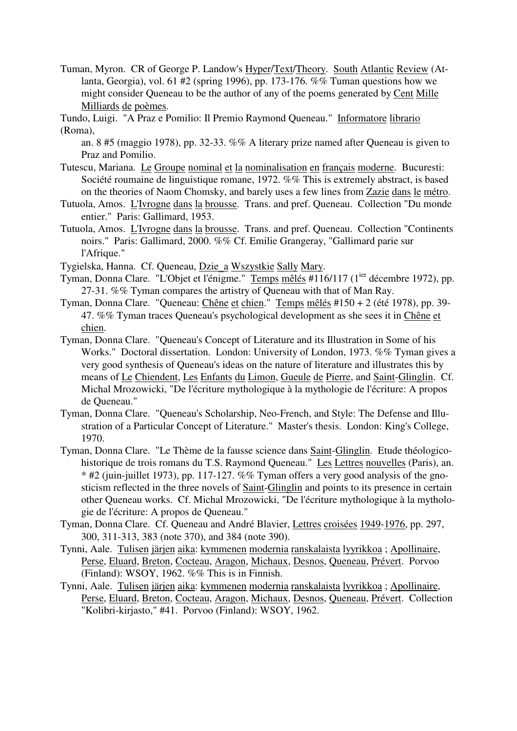Tuman, Myron. CR of George P. Landow's Hyper/Text/Theory. South Atlantic Review (Atlanta, Georgia), vol. 61 #2 (spring 1996), pp. 173-176. %% Tuman questions how we might consider Queneau to be the author of any of the poems generated by Cent Mille Milliards de poèmes.

Tundo, Luigi. "A Praz e Pomilio: Il Premio Raymond Queneau." Informatore librario (Roma),

an. 8 #5 (maggio 1978), pp. 32-33. %% A literary prize named after Queneau is given to Praz and Pomilio.

- Tutescu, Mariana. Le Groupe nominal et la nominalisation en français moderne. Bucuresti: Société roumaine de linguistique romane, 1972. %% This is extremely abstract, is based on the theories of Naom Chomsky, and barely uses a few lines from Zazie dans le métro.
- Tutuola, Amos. L'Ivrogne dans la brousse. Trans. and pref. Queneau. Collection "Du monde entier." Paris: Gallimard, 1953.
- Tutuola, Amos. L'Ivrogne dans la brousse. Trans. and pref. Queneau. Collection "Continents noirs." Paris: Gallimard, 2000. %% Cf. Emilie Grangeray, "Gallimard parie sur l'Afrique."
- Tygielska, Hanna. Cf. Queneau, Dzie\_a Wszystkie Sally Mary.
- Tyman, Donna Clare. "L'Objet et l'énigme." Temps mêlés #116/117 (1<sup>ier</sup> décembre 1972), pp. 27-31. %% Tyman compares the artistry of Queneau with that of Man Ray.
- Tyman, Donna Clare. "Queneau: Chêne et chien." Temps mêlés #150 + 2 (été 1978), pp. 39- 47. %% Tyman traces Queneau's psychological development as she sees it in Chêne et chien.
- Tyman, Donna Clare. "Queneau's Concept of Literature and its Illustration in Some of his Works." Doctoral dissertation. London: University of London, 1973. %% Tyman gives a very good synthesis of Queneau's ideas on the nature of literature and illustrates this by means of Le Chiendent, Les Enfants du Limon, Gueule de Pierre, and Saint-Glinglin. Cf. Michal Mrozowicki, "De l'écriture mythologique à la mythologie de l'écriture: A propos de Queneau."
- Tyman, Donna Clare. "Queneau's Scholarship, Neo-French, and Style: The Defense and Illustration of a Particular Concept of Literature." Master's thesis. London: King's College, 1970.
- Tyman, Donna Clare. "Le Thème de la fausse science dans Saint-Glinglin. Etude théologicohistorique de trois romans du T.S. Raymond Queneau." Les Lettres nouvelles (Paris), an. \* #2 (juin-juillet 1973), pp. 117-127. %% Tyman offers a very good analysis of the gnosticism reflected in the three novels of Saint-Glinglin and points to its presence in certain other Queneau works. Cf. Michal Mrozowicki, "De l'écriture mythologique à la mythologie de l'écriture: A propos de Queneau."
- Tyman, Donna Clare. Cf. Queneau and André Blavier, Lettres croisées 1949-1976, pp. 297, 300, 311-313, 383 (note 370), and 384 (note 390).
- Tynni, Aale. Tulisen järjen aika: kymmenen modernia ranskalaista lyyrikkoa ; Apollinaire, Perse, Eluard, Breton, Cocteau, Aragon, Michaux, Desnos, Queneau, Prévert. Porvoo (Finland): WSOY, 1962. %% This is in Finnish.
- Tynni, Aale. Tulisen järjen aika: kymmenen modernia ranskalaista lyyrikkoa ; Apollinaire, Perse, Eluard, Breton, Cocteau, Aragon, Michaux, Desnos, Queneau, Prévert. Collection "Kolibri-kirjasto," #41. Porvoo (Finland): WSOY, 1962.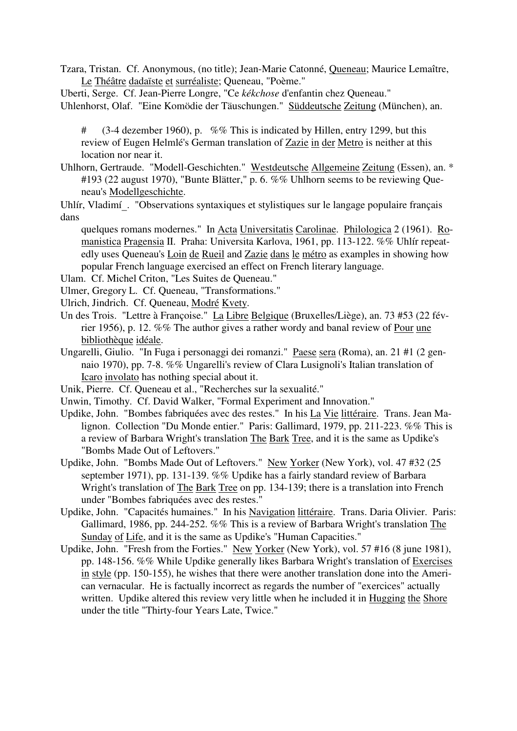Tzara, Tristan. Cf. Anonymous, (no title); Jean-Marie Catonné, Queneau; Maurice Lemaître, Le Théâtre dadaïste et surréaliste; Queneau, "Poème."

Uberti, Serge. Cf. Jean-Pierre Longre, "Ce *kékchose* d'enfantin chez Queneau." Uhlenhorst, Olaf. "Eine Komödie der Täuschungen." Süddeutsche Zeitung (München), an.

# (3-4 dezember 1960), p. %% This is indicated by Hillen, entry 1299, but this review of Eugen Helmlé's German translation of Zazie in der Metro is neither at this location nor near it.

Uhlhorn, Gertraude. "Modell-Geschichten." Westdeutsche Allgemeine Zeitung (Essen), an. \* #193 (22 august 1970), "Bunte Blätter," p. 6. %% Uhlhorn seems to be reviewing Queneau's Modellgeschichte.

Uhlír, Vladimí. "Observations syntaxiques et stylistiques sur le langage populaire français dans

quelques romans modernes." In Acta Universitatis Carolinae. Philologica 2 (1961). Romanistica Pragensia II. Praha: Universita Karlova, 1961, pp. 113-122. %% Uhlír repeatedly uses Queneau's Loin de Rueil and Zazie dans le métro as examples in showing how popular French language exercised an effect on French literary language.

Ulam. Cf. Michel Criton, "Les Suites de Queneau."

Ulmer, Gregory L. Cf. Queneau, "Transformations."

- Ulrich, Jindrich. Cf. Queneau, Modré Kvety.
- Un des Trois. "Lettre à Françoise." La Libre Belgique (Bruxelles/Liège), an. 73 #53 (22 février 1956), p. 12. %% The author gives a rather wordy and banal review of Pour une bibliothèque idéale.
- Ungarelli, Giulio. "In Fuga i personaggi dei romanzi." Paese sera (Roma), an. 21 #1 (2 gennaio 1970), pp. 7-8. %% Ungarelli's review of Clara Lusignoli's Italian translation of Icaro involato has nothing special about it.

Unik, Pierre. Cf. Queneau et al., "Recherches sur la sexualité."

- Unwin, Timothy. Cf. David Walker, "Formal Experiment and Innovation."
- Updike, John. "Bombes fabriquées avec des restes." In his La Vie littéraire. Trans. Jean Malignon. Collection "Du Monde entier." Paris: Gallimard, 1979, pp. 211-223. %% This is a review of Barbara Wright's translation The Bark Tree, and it is the same as Updike's "Bombs Made Out of Leftovers."
- Updike, John. "Bombs Made Out of Leftovers." New Yorker (New York), vol. 47 #32 (25 september 1971), pp. 131-139. %% Updike has a fairly standard review of Barbara Wright's translation of The Bark Tree on pp. 134-139; there is a translation into French under "Bombes fabriquées avec des restes."
- Updike, John. "Capacités humaines." In his Navigation littéraire. Trans. Daria Olivier. Paris: Gallimard, 1986, pp. 244-252. %% This is a review of Barbara Wright's translation The Sunday of Life, and it is the same as Updike's "Human Capacities."
- Updike, John. "Fresh from the Forties." New Yorker (New York), vol. 57 #16 (8 june 1981), pp. 148-156. %% While Updike generally likes Barbara Wright's translation of Exercises in style (pp. 150-155), he wishes that there were another translation done into the American vernacular. He is factually incorrect as regards the number of "exercices" actually written. Updike altered this review very little when he included it in Hugging the Shore under the title "Thirty-four Years Late, Twice."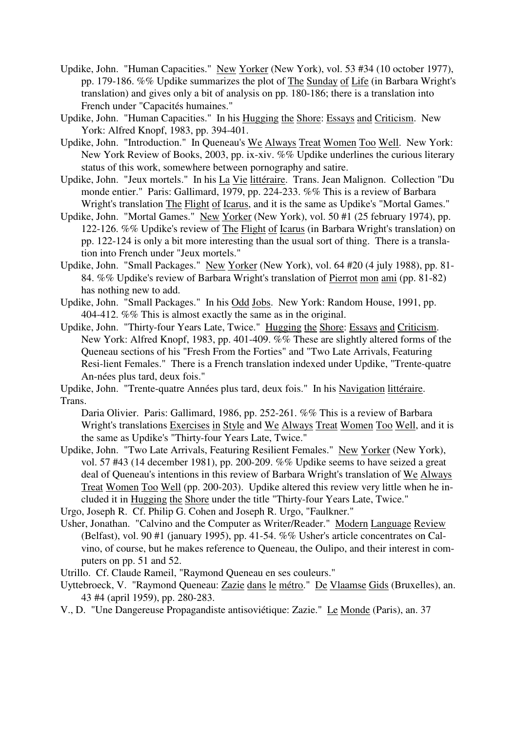- Updike, John. "Human Capacities." New Yorker (New York), vol. 53 #34 (10 october 1977), pp. 179-186. %% Updike summarizes the plot of The Sunday of Life (in Barbara Wright's translation) and gives only a bit of analysis on pp. 180-186; there is a translation into French under "Capacités humaines."
- Updike, John. "Human Capacities." In his Hugging the Shore: Essays and Criticism. New York: Alfred Knopf, 1983, pp. 394-401.
- Updike, John. "Introduction." In Queneau's We Always Treat Women Too Well. New York: New York Review of Books, 2003, pp. ix-xiv. %% Updike underlines the curious literary status of this work, somewhere between pornography and satire.
- Updike, John. "Jeux mortels." In his La Vie littéraire. Trans. Jean Malignon. Collection "Du monde entier." Paris: Gallimard, 1979, pp. 224-233. %% This is a review of Barbara Wright's translation The Flight of Icarus, and it is the same as Updike's "Mortal Games."
- Updike, John. "Mortal Games." New Yorker (New York), vol. 50 #1 (25 february 1974), pp. 122-126. %% Updike's review of The Flight of Icarus (in Barbara Wright's translation) on pp. 122-124 is only a bit more interesting than the usual sort of thing. There is a translation into French under "Jeux mortels."
- Updike, John. "Small Packages." New Yorker (New York), vol. 64 #20 (4 july 1988), pp. 81- 84. %% Updike's review of Barbara Wright's translation of Pierrot mon ami (pp. 81-82) has nothing new to add.
- Updike, John. "Small Packages." In his Odd Jobs. New York: Random House, 1991, pp. 404-412. %% This is almost exactly the same as in the original.
- Updike, John. "Thirty-four Years Late, Twice." Hugging the Shore: Essays and Criticism. New York: Alfred Knopf, 1983, pp. 401-409. %% These are slightly altered forms of the Queneau sections of his "Fresh From the Forties" and "Two Late Arrivals, Featuring Resi-lient Females." There is a French translation indexed under Updike, "Trente-quatre An-nées plus tard, deux fois."

Updike, John. "Trente-quatre Années plus tard, deux fois." In his Navigation littéraire. Trans.

Daria Olivier. Paris: Gallimard, 1986, pp. 252-261. %% This is a review of Barbara Wright's translations Exercises in Style and We Always Treat Women Too Well, and it is the same as Updike's "Thirty-four Years Late, Twice."

- Updike, John. "Two Late Arrivals, Featuring Resilient Females." New Yorker (New York), vol. 57 #43 (14 december 1981), pp. 200-209. %% Updike seems to have seized a great deal of Queneau's intentions in this review of Barbara Wright's translation of We Always Treat Women Too Well (pp. 200-203). Updike altered this review very little when he included it in Hugging the Shore under the title "Thirty-four Years Late, Twice."
- Urgo, Joseph R. Cf. Philip G. Cohen and Joseph R. Urgo, "Faulkner."
- Usher, Jonathan. "Calvino and the Computer as Writer/Reader." Modern Language Review (Belfast), vol. 90 #1 (january 1995), pp. 41-54. %% Usher's article concentrates on Calvino, of course, but he makes reference to Queneau, the Oulipo, and their interest in computers on pp. 51 and 52.
- Utrillo. Cf. Claude Rameil, "Raymond Queneau en ses couleurs."
- Uyttebroeck, V. "Raymond Queneau: Zazie dans le métro." De Vlaamse Gids (Bruxelles), an. 43 #4 (april 1959), pp. 280-283.
- V., D. "Une Dangereuse Propagandiste antisoviétique: Zazie." Le Monde (Paris), an. 37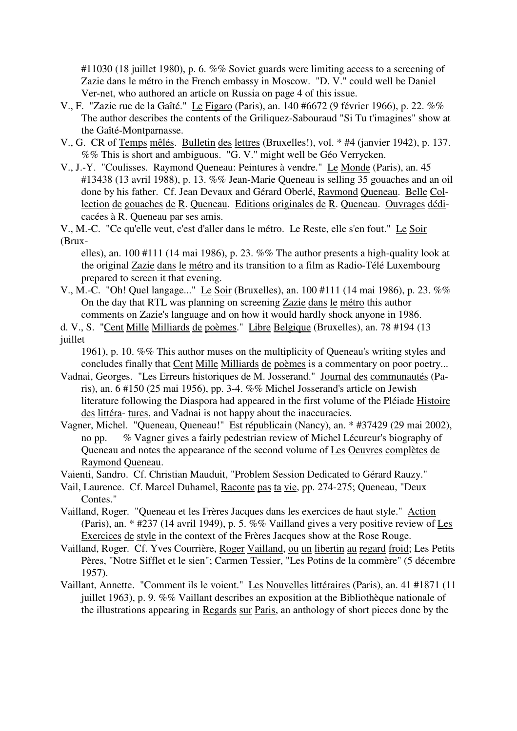#11030 (18 juillet 1980), p. 6. %% Soviet guards were limiting access to a screening of Zazie dans le métro in the French embassy in Moscow. "D. V." could well be Daniel Ver-net, who authored an article on Russia on page 4 of this issue.

- V., F. "Zazie rue de la Gaîté." Le Figaro (Paris), an. 140 #6672 (9 février 1966), p. 22. %% The author describes the contents of the Griliquez-Sabouraud "Si Tu t'imagines" show at the Gaîté-Montparnasse.
- V., G. CR of Temps mêlés. Bulletin des lettres (Bruxelles!), vol. \* #4 (janvier 1942), p. 137. %% This is short and ambiguous. "G. V." might well be Géo Verrycken.
- V., J.-Y. "Coulisses. Raymond Queneau: Peintures à vendre." Le Monde (Paris), an. 45 #13438 (13 avril 1988), p. 13. %% Jean-Marie Queneau is selling 35 gouaches and an oil done by his father. Cf. Jean Devaux and Gérard Oberlé, Raymond Queneau. Belle Collection de gouaches de R. Queneau. Editions originales de R. Queneau. Ouvrages dédicacées à R. Queneau par ses amis.

V., M.-C. "Ce qu'elle veut, c'est d'aller dans le métro. Le Reste, elle s'en fout." Le Soir (Brux-

elles), an. 100 #111 (14 mai 1986), p. 23, %% The author presents a high-quality look at the original Zazie dans le métro and its transition to a film as Radio-Télé Luxembourg prepared to screen it that evening.

- V., M.-C. "Oh! Quel langage..." Le Soir (Bruxelles), an. 100 #111 (14 mai 1986), p. 23. %% On the day that RTL was planning on screening Zazie dans le métro this author comments on Zazie's language and on how it would hardly shock anyone in 1986.
- d. V., S. "Cent Mille Milliards de poèmes." Libre Belgique (Bruxelles), an. 78 #194 (13 juillet

1961), p. 10. %% This author muses on the multiplicity of Queneau's writing styles and concludes finally that Cent Mille Milliards de poèmes is a commentary on poor poetry...

- Vadnai, Georges. "Les Erreurs historiques de M. Josserand." Journal des communautés (Paris), an. 6 #150 (25 mai 1956), pp. 3-4. %% Michel Josserand's article on Jewish literature following the Diaspora had appeared in the first volume of the Pléiade Histoire des littéra- tures, and Vadnai is not happy about the inaccuracies.
- Vagner, Michel. "Queneau, Queneau!" Est républicain (Nancy), an. \* #37429 (29 mai 2002), no pp. % Vagner gives a fairly pedestrian review of Michel Lécureur's biography of Queneau and notes the appearance of the second volume of Les Oeuvres complètes de Raymond Queneau.

Vaienti, Sandro. Cf. Christian Mauduit, "Problem Session Dedicated to Gérard Rauzy."

- Vail, Laurence. Cf. Marcel Duhamel, Raconte pas ta vie, pp. 274-275; Queneau, "Deux Contes."
- Vailland, Roger. "Queneau et les Frères Jacques dans les exercices de haut style." Action (Paris), an. \* #237 (14 avril 1949), p. 5. %% Vailland gives a very positive review of Les Exercices de style in the context of the Frères Jacques show at the Rose Rouge.
- Vailland, Roger. Cf. Yves Courrière, Roger Vailland, ou un libertin au regard froid; Les Petits Pères, "Notre Sifflet et le sien"; Carmen Tessier, "Les Potins de la commère" (5 décembre 1957).
- Vaillant, Annette. "Comment ils le voient." Les Nouvelles littéraires (Paris), an. 41 #1871 (11 juillet 1963), p. 9. %% Vaillant describes an exposition at the Bibliothèque nationale of the illustrations appearing in Regards sur Paris, an anthology of short pieces done by the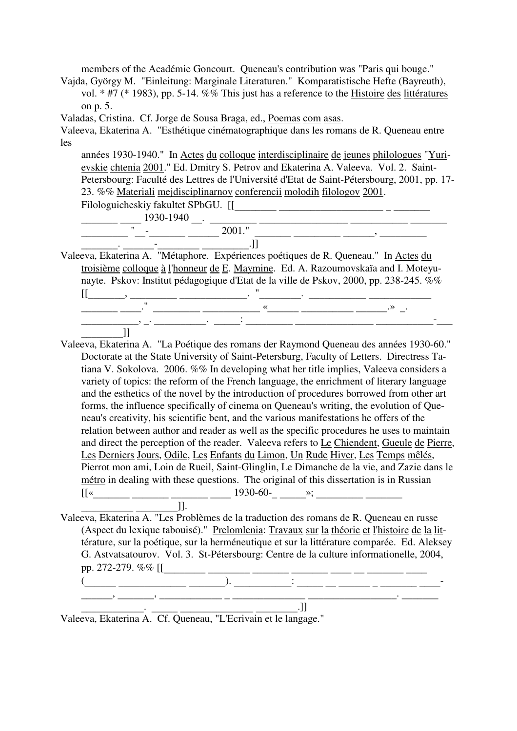members of the Académie Goncourt. Queneau's contribution was "Paris qui bouge."

Vajda, György M. "Einleitung: Marginale Literaturen." Komparatistische Hefte (Bayreuth), vol. \* #7 (\* 1983), pp. 5-14. %% This just has a reference to the Histoire des littératures on p. 5.

Valadas, Cristina. Cf. Jorge de Sousa Braga, ed., Poemas com asas.

Valeeva, Ekaterina A. "Esthétique cinématographique dans les romans de R. Queneau entre les

années 1930-1940." In Actes du colloque interdisciplinaire de jeunes philologues "Yurievskie chtenia 2001." Ed. Dmitry S. Petrov and Ekaterina A. Valeeva. Vol. 2. Saint-Petersbourg: Faculté des Lettres de l'Université d'Etat de Saint-Pétersbourg, 2001, pp. 17- 23. %% Materiali mejdisciplinarnoy conferencii molodih filologov 2001.

Filologuicheskiy fakultet SPbGU. [[\_\_\_\_\_\_\_\_ \_\_\_\_\_\_\_\_\_\_\_\_\_\_\_\_\_\_\_\_ \_ \_\_\_\_\_\_\_

 $\frac{1930-1940}{\cdot}$   $\frac{1930-1940}{\cdot}$   $\frac{1}{2001}$   $\frac{1}{\cdot}$   $\frac{1}{2001}$   $\frac{1}{\cdot}$   $\frac{1}{2001}$   $\frac{1}{\cdot}$   $\frac{1}{2001}$   $\frac{1}{\cdot}$   $\frac{1}{2001}$   $\frac{1}{\cdot}$   $\frac{1}{2001}$   $\frac{1}{\cdot}$   $\frac{1}{2001}$   $\frac{1}{\cdot}$   $\frac{1}{2001}$   $\$ \_\_\_\_\_\_\_\_\_ "\_\_-\_\_\_\_\_\_\_ \_\_\_\_\_\_ 2001." \_\_\_\_\_\_\_ \_\_\_\_\_\_\_\_\_ \_\_\_\_\_\_, \_\_\_\_\_\_\_\_\_

Valeeva, Ekaterina A. <sup>"</sup>Métaphore. Expériences poétiques de R. Queneau." In <u>Actes du</u> troisième colloque à l'honneur de E. Maymine. Ed. A. Razoumovskaïa and I. Moteyunayte. Pskov: Institut pédagogique d'Etat de la ville de Pskov, 2000, pp. 238-245. %%  $\frac{1}{2}$  . The contract of the contract of the contract of the contract of the contract of the contract of the contract of the contract of the contract of the contract of the contract of the contract of the contract of t  $\frac{1}{\sqrt{2}}$  ,  $\frac{1}{\sqrt{2}}$  ,  $\frac{1}{\sqrt{2}}$  ,  $\frac{1}{\sqrt{2}}$  ,  $\frac{1}{\sqrt{2}}$  ,  $\frac{1}{\sqrt{2}}$  ,  $\frac{1}{\sqrt{2}}$  ,  $\frac{1}{\sqrt{2}}$  ,  $\frac{1}{\sqrt{2}}$  ,  $\frac{1}{\sqrt{2}}$  ,  $\frac{1}{\sqrt{2}}$  ,  $\frac{1}{\sqrt{2}}$  ,  $\frac{1}{\sqrt{2}}$  ,  $\frac{1}{\sqrt{2}}$  ,  $\frac{1}{\sqrt{2}}$  $\frac{1}{11}$  ,  $\frac{1}{11}$  ,  $\frac{1}{11}$  ,  $\frac{1}{11}$  ,  $\frac{1}{11}$  ,  $\frac{1}{11}$  ,  $\frac{1}{11}$  ,  $\frac{1}{11}$  ,  $\frac{1}{11}$  ,  $\frac{1}{11}$  ,  $\frac{1}{11}$  ,  $\frac{1}{11}$  ,  $\frac{1}{11}$  ,  $\frac{1}{11}$  ,  $\frac{1}{11}$  ,  $\frac{1}{11}$  ,  $\frac{1}{11}$  ,

\_\_\_\_\_\_\_\_\_\_\_\_\_]]<br>eva\_Ekaterir Valeeva, Ekaterina A. "La Poétique des romans der Raymond Queneau des années 1930-60." Doctorate at the State University of Saint-Petersburg, Faculty of Letters. Directress Tatiana V. Sokolova. 2006. %% In developing what her title implies, Valeeva considers a variety of topics: the reform of the French language, the enrichment of literary language and the esthetics of the novel by the introduction of procedures borrowed from other art forms, the influence specifically of cinema on Queneau's writing, the evolution of Queneau's creativity, his scientific bent, and the various manifestations he offers of the relation between author and reader as well as the specific procedures he uses to maintain and direct the perception of the reader. Valeeva refers to Le Chiendent, Gueule de Pierre, Les Derniers Jours, Odile, Les Enfants du Limon, Un Rude Hiver, Les Temps mêlés, Pierrot mon ami, Loin de Rueil, Saint-Glinglin, Le Dimanche de la vie, and Zazie dans le métro in dealing with these questions. The original of this dissertation is in Russian [[«\_\_\_\_\_\_\_ \_\_\_\_\_\_\_ \_\_\_\_\_\_\_ \_\_\_\_ 1930-60-\_ \_\_\_\_\_»; \_\_\_\_\_\_\_\_\_ \_\_\_\_\_\_\_

Valeeva, Ekaterina A. "Les Problèmes de la traduction des romans de R. Queneau en russe (Aspect du lexique tabouisé)." Prelomlenia: Travaux sur la théorie et l'histoire de la littérature, sur la poétique, sur la herméneutique et sur la littérature comparée. Ed. Aleksey G. Astvatsatourov. Vol. 3. St-Pétersbourg: Centre de la culture informationelle, 2004, pp. 272-279. %% [[\_\_\_\_\_\_\_\_ \_\_\_\_\_\_\_\_ \_\_\_\_\_\_\_ \_\_\_\_\_\_\_ \_\_\_\_ \_\_ \_\_\_\_\_\_\_ \_\_\_\_

(\_\_\_\_\_\_ \_\_\_\_\_\_\_\_\_\_\_\_\_ \_\_\_\_\_\_\_). \_\_\_\_\_\_\_\_\_\_\_: \_\_\_\_\_ \_\_ \_\_\_\_\_\_ \_ \_\_\_\_\_\_\_ \_\_\_\_- \_\_\_\_\_\_, \_\_\_\_\_\_\_, \_\_\_\_\_\_\_\_\_\_\_\_ \_ \_\_\_\_\_\_\_\_\_\_\_\_\_\_ \_\_\_\_\_\_\_\_\_\_\_\_\_\_\_\_\_. \_\_\_\_\_\_\_

Valeeva, Ekaterina A. Cf. Queneau, "L'Ecrivain et le langage."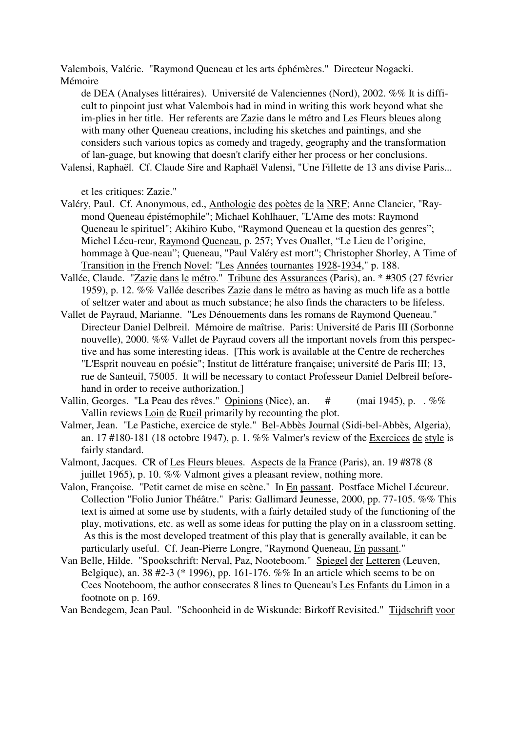Valembois, Valérie. "Raymond Queneau et les arts éphémères." Directeur Nogacki. Mémoire

de DEA (Analyses littéraires). Université de Valenciennes (Nord), 2002. %% It is difficult to pinpoint just what Valembois had in mind in writing this work beyond what she im-plies in her title. Her referents are Zazie dans le métro and Les Fleurs bleues along with many other Queneau creations, including his sketches and paintings, and she considers such various topics as comedy and tragedy, geography and the transformation of lan-guage, but knowing that doesn't clarify either her process or her conclusions.

Valensi, Raphaël. Cf. Claude Sire and Raphaël Valensi, "Une Fillette de 13 ans divise Paris...

et les critiques: Zazie."

- Valéry, Paul. Cf. Anonymous, ed., Anthologie des poètes de la NRF; Anne Clancier, "Raymond Queneau épistémophile"; Michael Kohlhauer, "L'Ame des mots: Raymond Queneau le spirituel"; Akihiro Kubo, "Raymond Queneau et la question des genres"; Michel Lécu-reur, Raymond Queneau, p. 257; Yves Ouallet, "Le Lieu de l'origine, hommage à Que-neau"; Queneau, "Paul Valéry est mort"; Christopher Shorley, A Time of Transition in the French Novel: "Les Années tournantes 1928-1934," p. 188.
- Vallée, Claude. "Zazie dans le métro." Tribune des Assurances (Paris), an. \* #305 (27 février 1959), p. 12. %% Vallée describes Zazie dans le métro as having as much life as a bottle of seltzer water and about as much substance; he also finds the characters to be lifeless.
- Vallet de Payraud, Marianne. "Les Dénouements dans les romans de Raymond Queneau." Directeur Daniel Delbreil. Mémoire de maîtrise. Paris: Université de Paris III (Sorbonne nouvelle), 2000. %% Vallet de Payraud covers all the important novels from this perspective and has some interesting ideas. [This work is available at the Centre de recherches "L'Esprit nouveau en poésie"; Institut de littérature française; université de Paris III; 13, rue de Santeuil, 75005. It will be necessary to contact Professeur Daniel Delbreil beforehand in order to receive authorization.]
- Vallin, Georges. "La Peau des rêves." Opinions (Nice), an. # (mai 1945), p. . %% Vallin reviews Loin de Rueil primarily by recounting the plot.
- Valmer, Jean. "Le Pastiche, exercice de style." Bel-Abbès Journal (Sidi-bel-Abbès, Algeria), an. 17 #180-181 (18 octobre 1947), p. 1. %% Valmer's review of the Exercices de style is fairly standard.
- Valmont, Jacques. CR of Les Fleurs bleues. Aspects de la France (Paris), an. 19 #878 (8 juillet 1965), p. 10. %% Valmont gives a pleasant review, nothing more.
- Valon, Françoise. "Petit carnet de mise en scène." In En passant. Postface Michel Lécureur. Collection "Folio Junior Théâtre." Paris: Gallimard Jeunesse, 2000, pp. 77-105. %% This text is aimed at some use by students, with a fairly detailed study of the functioning of the play, motivations, etc. as well as some ideas for putting the play on in a classroom setting. As this is the most developed treatment of this play that is generally available, it can be particularly useful. Cf. Jean-Pierre Longre, "Raymond Queneau, En passant."
- Van Belle, Hilde. "Spookschrift: Nerval, Paz, Nooteboom." Spiegel der Letteren (Leuven, Belgique), an. 38 #2-3 (\* 1996), pp. 161-176. %% In an article which seems to be on Cees Nooteboom, the author consecrates 8 lines to Queneau's Les Enfants du Limon in a footnote on p. 169.

Van Bendegem, Jean Paul. "Schoonheid in de Wiskunde: Birkoff Revisited." Tijdschrift voor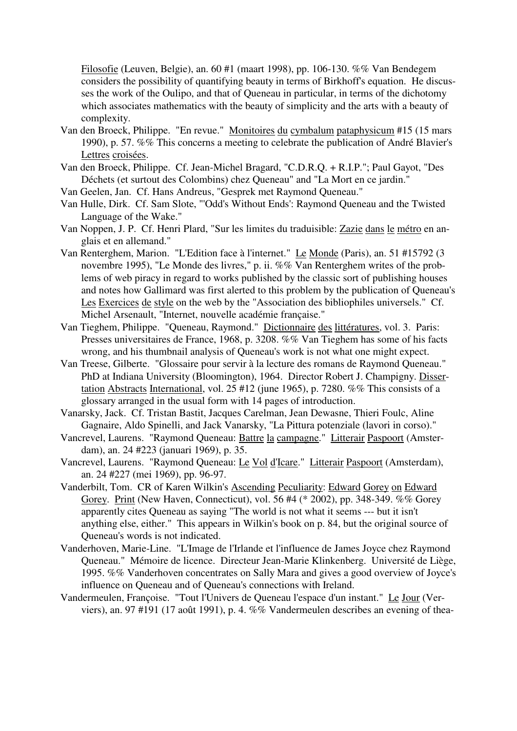Filosofie (Leuven, Belgie), an. 60 #1 (maart 1998), pp. 106-130. %% Van Bendegem considers the possibility of quantifying beauty in terms of Birkhoff's equation. He discusses the work of the Oulipo, and that of Queneau in particular, in terms of the dichotomy which associates mathematics with the beauty of simplicity and the arts with a beauty of complexity.

- Van den Broeck, Philippe. "En revue." Monitoires du cymbalum pataphysicum #15 (15 mars 1990), p. 57. %% This concerns a meeting to celebrate the publication of André Blavier's Lettres croisées.
- Van den Broeck, Philippe. Cf. Jean-Michel Bragard, "C.D.R.Q. + R.I.P."; Paul Gayot, "Des Déchets (et surtout des Colombins) chez Queneau" and "La Mort en ce jardin."
- Van Geelen, Jan. Cf. Hans Andreus, "Gesprek met Raymond Queneau."
- Van Hulle, Dirk. Cf. Sam Slote, "'Odd's Without Ends': Raymond Queneau and the Twisted Language of the Wake."
- Van Noppen, J. P. Cf. Henri Plard, "Sur les limites du traduisible: Zazie dans le métro en anglais et en allemand."
- Van Renterghem, Marion. "L'Edition face à l'internet." Le Monde (Paris), an. 51 #15792 (3 novembre 1995), "Le Monde des livres," p. ii. %% Van Renterghem writes of the problems of web piracy in regard to works published by the classic sort of publishing houses and notes how Gallimard was first alerted to this problem by the publication of Queneau's Les Exercices de style on the web by the "Association des bibliophiles universels." Cf. Michel Arsenault, "Internet, nouvelle académie française."
- Van Tieghem, Philippe. "Queneau, Raymond." Dictionnaire des littératures, vol. 3. Paris: Presses universitaires de France, 1968, p. 3208. %% Van Tieghem has some of his facts wrong, and his thumbnail analysis of Queneau's work is not what one might expect.
- Van Treese, Gilberte. "Glossaire pour servir à la lecture des romans de Raymond Queneau." PhD at Indiana University (Bloomington), 1964. Director Robert J. Champigny. Dissertation Abstracts International, vol. 25 #12 (june 1965), p. 7280. %% This consists of a glossary arranged in the usual form with 14 pages of introduction.
- Vanarsky, Jack. Cf. Tristan Bastit, Jacques Carelman, Jean Dewasne, Thieri Foulc, Aline Gagnaire, Aldo Spinelli, and Jack Vanarsky, "La Pittura potenziale (lavori in corso)."
- Vancrevel, Laurens. "Raymond Queneau: Battre la campagne." Litterair Paspoort (Amsterdam), an. 24 #223 (januari 1969), p. 35.
- Vancrevel, Laurens. "Raymond Queneau: Le Vol d'Icare." Litterair Paspoort (Amsterdam), an. 24 #227 (mei 1969), pp. 96-97.
- Vanderbilt, Tom. CR of Karen Wilkin's Ascending Peculiarity: Edward Gorey on Edward Gorey. Print (New Haven, Connecticut), vol. 56 #4 (\* 2002), pp. 348-349. %% Gorey apparently cites Queneau as saying "The world is not what it seems --- but it isn't anything else, either." This appears in Wilkin's book on p. 84, but the original source of Queneau's words is not indicated.
- Vanderhoven, Marie-Line. "L'Image de l'Irlande et l'influence de James Joyce chez Raymond Queneau." Mémoire de licence. Directeur Jean-Marie Klinkenberg. Université de Liège, 1995. %% Vanderhoven concentrates on Sally Mara and gives a good overview of Joyce's influence on Queneau and of Queneau's connections with Ireland.
- Vandermeulen, Françoise. "Tout l'Univers de Queneau l'espace d'un instant." Le Jour (Verviers), an. 97 #191 (17 août 1991), p. 4. %% Vandermeulen describes an evening of thea-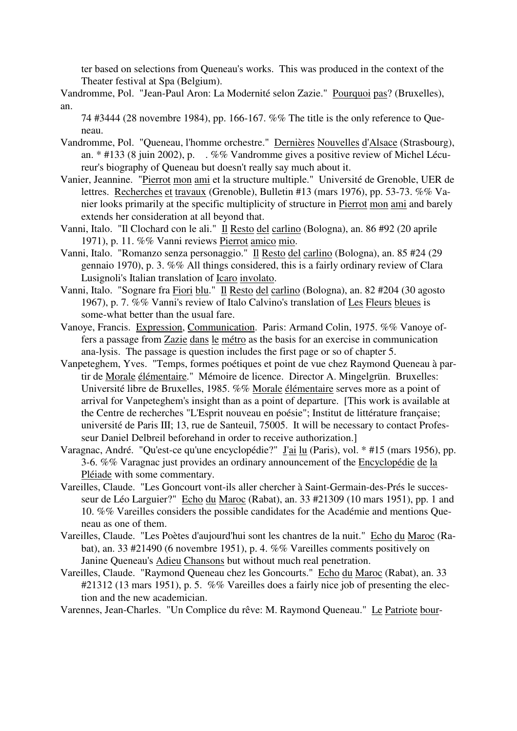ter based on selections from Queneau's works. This was produced in the context of the Theater festival at Spa (Belgium).

Vandromme, Pol. "Jean-Paul Aron: La Modernité selon Zazie." Pourquoi pas? (Bruxelles), an.

- 74 #3444 (28 novembre 1984), pp. 166-167. %% The title is the only reference to Queneau.
- Vandromme, Pol. "Queneau, l'homme orchestre." Dernières Nouvelles d'Alsace (Strasbourg), an. \* #133 (8 juin 2002), p. . %% Vandromme gives a positive review of Michel Lécureur's biography of Queneau but doesn't really say much about it.
- Vanier, Jeannine. "Pierrot mon ami et la structure multiple." Université de Grenoble, UER de lettres. Recherches et travaux (Grenoble), Bulletin #13 (mars 1976), pp. 53-73. %% Vanier looks primarily at the specific multiplicity of structure in Pierrot mon ami and barely extends her consideration at all beyond that.
- Vanni, Italo. "Il Clochard con le ali." Il Resto del carlino (Bologna), an. 86 #92 (20 aprile 1971), p. 11. %% Vanni reviews Pierrot amico mio.
- Vanni, Italo. "Romanzo senza personaggio." Il Resto del carlino (Bologna), an. 85 #24 (29 gennaio 1970), p. 3. %% All things considered, this is a fairly ordinary review of Clara Lusignoli's Italian translation of Icaro involato.
- Vanni, Italo. "Sognare fra Fiori blu." Il Resto del carlino (Bologna), an. 82 #204 (30 agosto 1967), p. 7. %% Vanni's review of Italo Calvino's translation of Les Fleurs bleues is some-what better than the usual fare.
- Vanoye, Francis. Expression, Communication. Paris: Armand Colin, 1975. %% Vanoye offers a passage from Zazie dans le métro as the basis for an exercise in communication ana-lysis. The passage is question includes the first page or so of chapter 5.
- Vanpeteghem, Yves. "Temps, formes poétiques et point de vue chez Raymond Queneau à partir de Morale élémentaire." Mémoire de licence. Director A. Mingelgrün. Bruxelles: Université libre de Bruxelles, 1985. %% Morale élémentaire serves more as a point of arrival for Vanpeteghem's insight than as a point of departure. [This work is available at the Centre de recherches "L'Esprit nouveau en poésie"; Institut de littérature française; université de Paris III; 13, rue de Santeuil, 75005. It will be necessary to contact Professeur Daniel Delbreil beforehand in order to receive authorization.]
- Varagnac, André. "Qu'est-ce qu'une encyclopédie?" <u>J'ai lu</u> (Paris), vol. \* #15 (mars 1956), pp. 3-6. %% Varagnac just provides an ordinary announcement of the Encyclopédie de la Pléiade with some commentary.
- Vareilles, Claude. "Les Goncourt vont-ils aller chercher à Saint-Germain-des-Prés le successeur de Léo Larguier?" Echo du Maroc (Rabat), an. 33 #21309 (10 mars 1951), pp. 1 and 10. %% Vareilles considers the possible candidates for the Académie and mentions Queneau as one of them.
- Vareilles, Claude. "Les Poètes d'aujourd'hui sont les chantres de la nuit." Echo du Maroc (Rabat), an. 33 #21490 (6 novembre 1951), p. 4. %% Vareilles comments positively on Janine Queneau's Adieu Chansons but without much real penetration.
- Vareilles, Claude. "Raymond Queneau chez les Goncourts." Echo du Maroc (Rabat), an. 33 #21312 (13 mars 1951), p. 5. %% Vareilles does a fairly nice job of presenting the election and the new academician.
- Varennes, Jean-Charles. "Un Complice du rêve: M. Raymond Queneau." Le Patriote bour-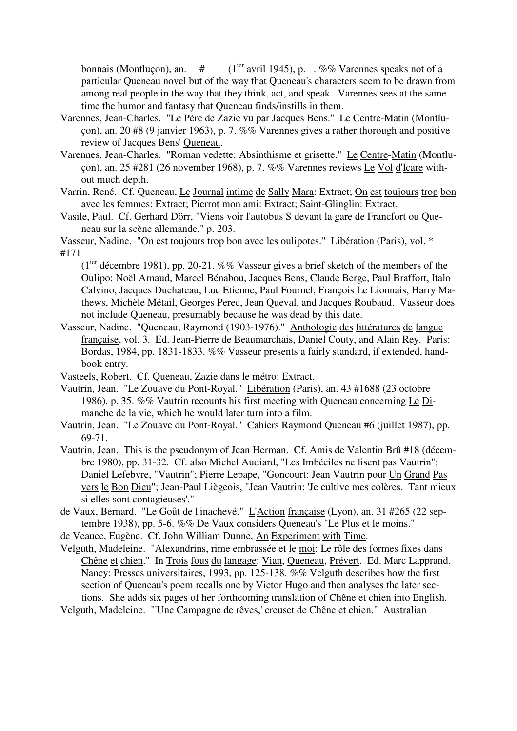bonnais (Montluçon), an.  $\#$  (1<sup>ier</sup> avril 1945), p. . %% Varennes speaks not of a particular Queneau novel but of the way that Queneau's characters seem to be drawn from among real people in the way that they think, act, and speak. Varennes sees at the same time the humor and fantasy that Queneau finds/instills in them.

- Varennes, Jean-Charles. "Le Père de Zazie vu par Jacques Bens." Le Centre-Matin (Montluçon), an. 20 #8 (9 janvier 1963), p. 7. %% Varennes gives a rather thorough and positive review of Jacques Bens' Queneau.
- Varennes, Jean-Charles. "Roman vedette: Absinthisme et grisette." Le Centre-Matin (Montluçon), an. 25 #281 (26 november 1968), p. 7. %% Varennes reviews Le Vol d'Icare without much depth.
- Varrin, René. Cf. Queneau, Le Journal intime de Sally Mara: Extract; On est toujours trop bon avec les femmes: Extract; Pierrot mon ami: Extract; Saint-Glinglin: Extract.
- Vasile, Paul. Cf. Gerhard Dörr, "Viens voir l'autobus S devant la gare de Francfort ou Queneau sur la scène allemande," p. 203.

Vasseur, Nadine. "On est toujours trop bon avec les oulipotes." Libération (Paris), vol. \* #171

( $1<sup>ier</sup>$  décembre 1981), pp. 20-21. %% Vasseur gives a brief sketch of the members of the Oulipo: Noël Arnaud, Marcel Bénabou, Jacques Bens, Claude Berge, Paul Braffort, Italo Calvino, Jacques Duchateau, Luc Etienne, Paul Fournel, François Le Lionnais, Harry Mathews, Michèle Métail, Georges Perec, Jean Queval, and Jacques Roubaud. Vasseur does not include Queneau, presumably because he was dead by this date.

- Vasseur, Nadine. "Queneau, Raymond (1903-1976)." Anthologie des littératures de langue française, vol. 3. Ed. Jean-Pierre de Beaumarchais, Daniel Couty, and Alain Rey. Paris: Bordas, 1984, pp. 1831-1833. %% Vasseur presents a fairly standard, if extended, handbook entry.
- Vasteels, Robert. Cf. Queneau, Zazie dans le métro: Extract.
- Vautrin, Jean. "Le Zouave du Pont-Royal." Libération (Paris), an. 43 #1688 (23 octobre 1986), p. 35. %% Vautrin recounts his first meeting with Queneau concerning Le Dimanche de la vie, which he would later turn into a film.
- Vautrin, Jean. "Le Zouave du Pont-Royal." Cahiers Raymond Queneau #6 (juillet 1987), pp. 69-71.
- Vautrin, Jean. This is the pseudonym of Jean Herman. Cf. Amis de Valentin Brû #18 (décembre 1980), pp. 31-32. Cf. also Michel Audiard, "Les Imbéciles ne lisent pas Vautrin"; Daniel Lefebvre, "Vautrin"; Pierre Lepape, "Goncourt: Jean Vautrin pour Un Grand Pas vers le Bon Dieu"; Jean-Paul Liègeois, "Jean Vautrin: 'Je cultive mes colères. Tant mieux si elles sont contagieuses'."
- de Vaux, Bernard. "Le Goût de l'inachevé." L'Action française (Lyon), an. 31 #265 (22 septembre 1938), pp. 5-6. %% De Vaux considers Queneau's "Le Plus et le moins."
- de Veauce, Eugène. Cf. John William Dunne, An Experiment with Time.
- Velguth, Madeleine. "Alexandrins, rime embrassée et le moi: Le rôle des formes fixes dans Chêne et chien." In Trois fous du langage: Vian, Queneau, Prévert. Ed. Marc Lapprand. Nancy: Presses universitaires, 1993, pp. 125-138. %% Velguth describes how the first section of Queneau's poem recalls one by Victor Hugo and then analyses the later sections. She adds six pages of her forthcoming translation of Chêne et chien into English. Velguth, Madeleine. "'Une Campagne de rêves,' creuset de Chêne et chien." Australian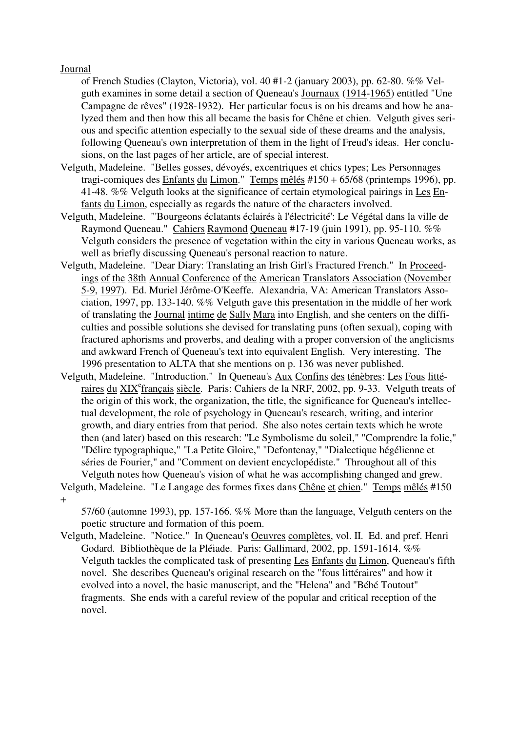## Journal

of French Studies (Clayton, Victoria), vol. 40 #1-2 (january 2003), pp. 62-80. %% Velguth examines in some detail a section of Queneau's Journaux (1914-1965) entitled "Une Campagne de rêves" (1928-1932). Her particular focus is on his dreams and how he analyzed them and then how this all became the basis for Chêne et chien. Velguth gives serious and specific attention especially to the sexual side of these dreams and the analysis, following Queneau's own interpretation of them in the light of Freud's ideas. Her conclusions, on the last pages of her article, are of special interest.

- Velguth, Madeleine. "Belles gosses, dévoyés, excentriques et chics types; Les Personnages tragi-comiques des Enfants du Limon." Temps mêlés #150 + 65/68 (printemps 1996), pp. 41-48. %% Velguth looks at the significance of certain etymological pairings in Les Enfants du Limon, especially as regards the nature of the characters involved.
- Velguth, Madeleine. "'Bourgeons éclatants éclairés à l'électricité': Le Végétal dans la ville de Raymond Queneau." Cahiers Raymond Queneau #17-19 (juin 1991), pp. 95-110. %% Velguth considers the presence of vegetation within the city in various Queneau works, as well as briefly discussing Queneau's personal reaction to nature.
- Velguth, Madeleine. "Dear Diary: Translating an Irish Girl's Fractured French." In Proceedings of the 38th Annual Conference of the American Translators Association (November 5-9, 1997). Ed. Muriel Jérôme-O'Keeffe. Alexandria, VA: American Translators Association, 1997, pp. 133-140. %% Velguth gave this presentation in the middle of her work of translating the Journal intime de Sally Mara into English, and she centers on the difficulties and possible solutions she devised for translating puns (often sexual), coping with fractured aphorisms and proverbs, and dealing with a proper conversion of the anglicisms and awkward French of Queneau's text into equivalent English. Very interesting. The 1996 presentation to ALTA that she mentions on p. 136 was never published.
- Velguth, Madeleine. "Introduction." In Queneau's Aux Confins des ténèbres: Les Fous littéraires du XIX<sup>e</sup>français siècle. Paris: Cahiers de la NRF, 2002, pp. 9-33. Velguth treats of the origin of this work, the organization, the title, the significance for Queneau's intellectual development, the role of psychology in Queneau's research, writing, and interior growth, and diary entries from that period. She also notes certain texts which he wrote then (and later) based on this research: "Le Symbolisme du soleil," "Comprendre la folie," "Délire typographique," "La Petite Gloire," "Defontenay," "Dialectique hégélienne et séries de Fourier," and "Comment on devient encyclopédiste." Throughout all of this Velguth notes how Queneau's vision of what he was accomplishing changed and grew.
- Velguth, Madeleine. "Le Langage des formes fixes dans Chêne et chien." Temps mêlés #150 +

57/60 (automne 1993), pp. 157-166. %% More than the language, Velguth centers on the poetic structure and formation of this poem.

Velguth, Madeleine. "Notice." In Queneau's Oeuvres complètes, vol. II. Ed. and pref. Henri Godard. Bibliothèque de la Pléiade. Paris: Gallimard, 2002, pp. 1591-1614. %% Velguth tackles the complicated task of presenting Les Enfants du Limon, Queneau's fifth novel. She describes Queneau's original research on the "fous littéraires" and how it evolved into a novel, the basic manuscript, and the "Helena" and "Bébé Toutout" fragments. She ends with a careful review of the popular and critical reception of the novel.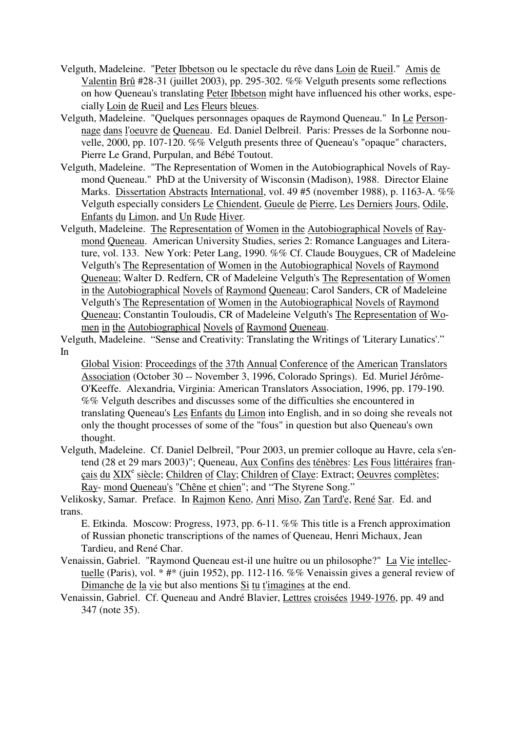- Velguth, Madeleine. "Peter Ibbetson ou le spectacle du rêve dans Loin de Rueil." Amis de Valentin Brû #28-31 (juillet 2003), pp. 295-302. %% Velguth presents some reflections on how Queneau's translating Peter Ibbetson might have influenced his other works, especially Loin de Rueil and Les Fleurs bleues.
- Velguth, Madeleine. "Quelques personnages opaques de Raymond Queneau." In Le Personnage dans l'oeuvre de Queneau. Ed. Daniel Delbreil. Paris: Presses de la Sorbonne nouvelle, 2000, pp. 107-120. %% Velguth presents three of Queneau's "opaque" characters, Pierre Le Grand, Purpulan, and Bébé Toutout.
- Velguth, Madeleine. "The Representation of Women in the Autobiographical Novels of Raymond Queneau." PhD at the University of Wisconsin (Madison), 1988. Director Elaine Marks. Dissertation Abstracts International, vol. 49 #5 (november 1988), p. 1163-A. %% Velguth especially considers Le Chiendent, Gueule de Pierre, Les Derniers Jours, Odile, Enfants du Limon, and Un Rude Hiver.
- Velguth, Madeleine. The Representation of Women in the Autobiographical Novels of Raymond Queneau. American University Studies, series 2: Romance Languages and Literature, vol. 133. New York: Peter Lang, 1990. %% Cf. Claude Bouygues, CR of Madeleine Velguth's The Representation of Women in the Autobiographical Novels of Raymond Queneau; Walter D. Redfern, CR of Madeleine Velguth's The Representation of Women in the Autobiographical Novels of Raymond Queneau; Carol Sanders, CR of Madeleine Velguth's The Representation of Women in the Autobiographical Novels of Raymond Queneau; Constantin Touloudis, CR of Madeleine Velguth's The Representation of Women in the Autobiographical Novels of Raymond Queneau.

Velguth, Madeleine. "Sense and Creativity: Translating the Writings of 'Literary Lunatics'." In

Global Vision: Proceedings of the 37th Annual Conference of the American Translators Association (October 30 -- November 3, 1996, Colorado Springs). Ed. Muriel Jérôme-O'Keeffe. Alexandria, Virginia: American Translators Association, 1996, pp. 179-190. %% Velguth describes and discusses some of the difficulties she encountered in translating Queneau's Les Enfants du Limon into English, and in so doing she reveals not only the thought processes of some of the "fous" in question but also Queneau's own thought.

Velguth, Madeleine. Cf. Daniel Delbreil, "Pour 2003, un premier colloque au Havre, cela s'entend (28 et 29 mars 2003)"; Queneau, Aux Confins des ténèbres: Les Fous littéraires français du XIX<sup>e</sup> siècle; Children of Clay; Children of Claye: Extract; Oeuvres complètes; Ray- mond Queneau's "Chêne et chien"; and "The Styrene Song."

Velikosky, Samar. Preface. In Rajmon Keno, Anri Miso, Zan Tard'e, René Sar. Ed. and trans.

E. Etkinda. Moscow: Progress, 1973, pp. 6-11. %% This title is a French approximation of Russian phonetic transcriptions of the names of Queneau, Henri Michaux, Jean Tardieu, and René Char.

- Venaissin, Gabriel. "Raymond Queneau est-il une huître ou un philosophe?" La Vie intellectuelle (Paris), vol. \* #\* (juin 1952), pp. 112-116. %% Venaissin gives a general review of Dimanche de la vie but also mentions Si tu t'imagines at the end.
- Venaissin, Gabriel. Cf. Queneau and André Blavier, Lettres croisées 1949-1976, pp. 49 and 347 (note 35).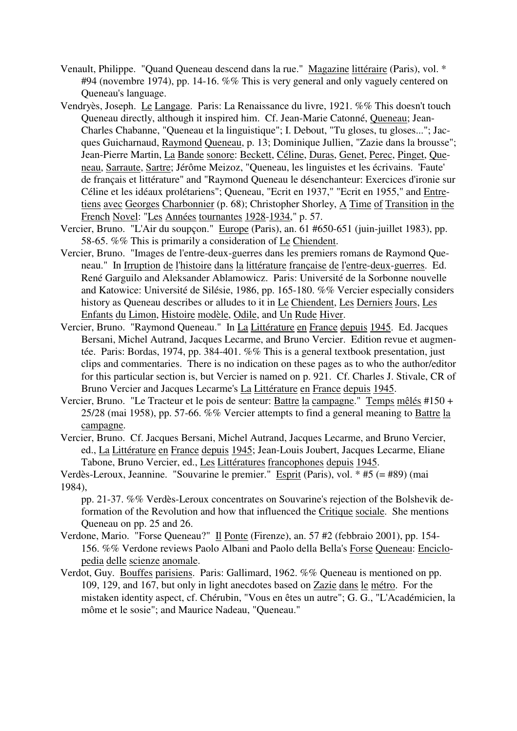- Venault, Philippe. "Quand Queneau descend dans la rue." Magazine littéraire (Paris), vol. \* #94 (novembre 1974), pp. 14-16. %% This is very general and only vaguely centered on Queneau's language.
- Vendryès, Joseph. Le Langage. Paris: La Renaissance du livre, 1921. %% This doesn't touch Queneau directly, although it inspired him. Cf. Jean-Marie Catonné, Queneau; Jean-Charles Chabanne, "Queneau et la linguistique"; I. Debout, "Tu gloses, tu gloses..."; Jacques Guicharnaud, Raymond Queneau, p. 13; Dominique Jullien, "Zazie dans la brousse"; Jean-Pierre Martin, La Bande sonore: Beckett, Céline, Duras, Genet, Perec, Pinget, Queneau, Sarraute, Sartre; Jérôme Meizoz, "Queneau, les linguistes et les écrivains. 'Faute' de français et littérature" and "Raymond Queneau le désenchanteur: Exercices d'ironie sur Céline et les idéaux prolétariens"; Queneau, "Ecrit en 1937," "Ecrit en 1955," and Entretiens avec Georges Charbonnier (p. 68); Christopher Shorley, A Time of Transition in the French Novel: "Les Années tournantes 1928-1934," p. 57.
- Vercier, Bruno. "L'Air du soupçon." Europe (Paris), an. 61 #650-651 (juin-juillet 1983), pp. 58-65. %% This is primarily a consideration of Le Chiendent.
- Vercier, Bruno. "Images de l'entre-deux-guerres dans les premiers romans de Raymond Queneau." In Irruption de l'histoire dans la littérature française de l'entre-deux-guerres. Ed. René Garguilo and Aleksander Ablamowicz. Paris: Université de la Sorbonne nouvelle and Katowice: Université de Silésie, 1986, pp. 165-180. %% Vercier especially considers history as Queneau describes or alludes to it in Le Chiendent, Les Derniers Jours, Les Enfants du Limon, Histoire modèle, Odile, and Un Rude Hiver.
- Vercier, Bruno. "Raymond Queneau." In La Littérature en France depuis 1945. Ed. Jacques Bersani, Michel Autrand, Jacques Lecarme, and Bruno Vercier. Edition revue et augmentée. Paris: Bordas, 1974, pp. 384-401. %% This is a general textbook presentation, just clips and commentaries. There is no indication on these pages as to who the author/editor for this particular section is, but Vercier is named on p. 921. Cf. Charles J. Stivale, CR of Bruno Vercier and Jacques Lecarme's La Littérature en France depuis 1945.
- Vercier, Bruno. "Le Tracteur et le pois de senteur: Battre la campagne." Temps mêlés #150 + 25/28 (mai 1958), pp. 57-66. %% Vercier attempts to find a general meaning to Battre la campagne.
- Vercier, Bruno. Cf. Jacques Bersani, Michel Autrand, Jacques Lecarme, and Bruno Vercier, ed., La Littérature en France depuis 1945; Jean-Louis Joubert, Jacques Lecarme, Eliane Tabone, Bruno Vercier, ed., Les Littératures francophones depuis 1945.

- pp. 21-37. %% Verdès-Leroux concentrates on Souvarine's rejection of the Bolshevik deformation of the Revolution and how that influenced the Critique sociale. She mentions Queneau on pp. 25 and 26.
- Verdone, Mario. "Forse Queneau?" Il Ponte (Firenze), an. 57 #2 (febbraio 2001), pp. 154- 156. %% Verdone reviews Paolo Albani and Paolo della Bella's Forse Queneau: Enciclopedia delle scienze anomale.
- Verdot, Guy. Bouffes parisiens. Paris: Gallimard, 1962. %% Queneau is mentioned on pp. 109, 129, and 167, but only in light anecdotes based on Zazie dans le métro. For the mistaken identity aspect, cf. Chérubin, "Vous en êtes un autre"; G. G., "L'Académicien, la môme et le sosie"; and Maurice Nadeau, "Queneau."

Verdès-Leroux, Jeannine. "Souvarine le premier." Esprit (Paris), vol. \* #5 (= #89) (mai 1984),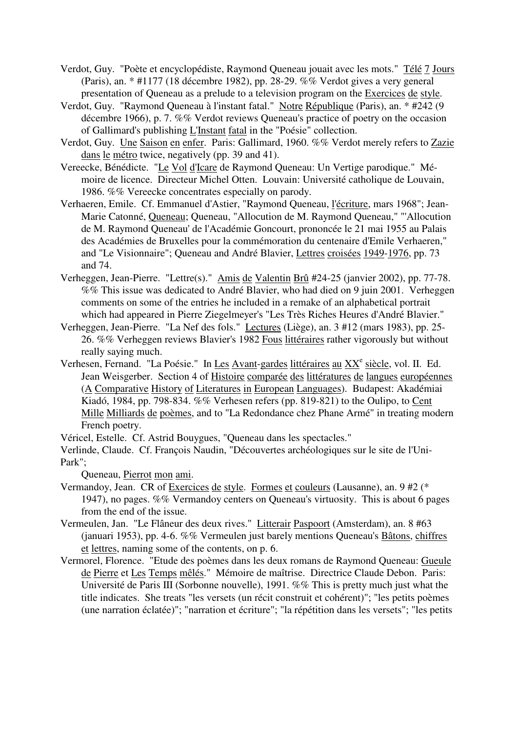- Verdot, Guy. "Poète et encyclopédiste, Raymond Queneau jouait avec les mots." Télé 7 Jours (Paris), an. \* #1177 (18 décembre 1982), pp. 28-29. %% Verdot gives a very general presentation of Queneau as a prelude to a television program on the Exercices de style.
- Verdot, Guy. "Raymond Queneau à l'instant fatal." Notre République (Paris), an. \* #242 (9 décembre 1966), p. 7. %% Verdot reviews Queneau's practice of poetry on the occasion of Gallimard's publishing L'Instant fatal in the "Poésie" collection.
- Verdot, Guy. Une Saison en enfer. Paris: Gallimard, 1960. %% Verdot merely refers to Zazie dans le métro twice, negatively (pp. 39 and 41).
- Vereecke, Bénédicte. "Le Vol d'Icare de Raymond Queneau: Un Vertige parodique." Mémoire de licence. Directeur Michel Otten. Louvain: Université catholique de Louvain, 1986. %% Vereecke concentrates especially on parody.
- Verhaeren, Emile. Cf. Emmanuel d'Astier, "Raymond Queneau, l'écriture, mars 1968"; Jean-Marie Catonné, Queneau; Queneau, "Allocution de M. Raymond Queneau," "'Allocution de M. Raymond Queneau' de l'Académie Goncourt, prononcée le 21 mai 1955 au Palais des Académies de Bruxelles pour la commémoration du centenaire d'Emile Verhaeren," and "Le Visionnaire"; Queneau and André Blavier, Lettres croisées 1949-1976, pp. 73 and 74.
- Verheggen, Jean-Pierre. "Lettre(s)." Amis de Valentin Brû #24-25 (janvier 2002), pp. 77-78. %% This issue was dedicated to André Blavier, who had died on 9 juin 2001. Verheggen comments on some of the entries he included in a remake of an alphabetical portrait which had appeared in Pierre Ziegelmeyer's "Les Très Riches Heures d'André Blavier."
- Verheggen, Jean-Pierre. "La Nef des fols." Lectures (Liège), an. 3 #12 (mars 1983), pp. 25- 26. %% Verheggen reviews Blavier's 1982 Fous littéraires rather vigorously but without really saying much.
- Verhesen, Fernand. "La Poésie." In Les Avant-gardes littéraires au XX<sup>e</sup> siècle, vol. II. Ed. Jean Weisgerber. Section 4 of Histoire comparée des littératures de langues européennes (A Comparative History of Literatures in European Languages). Budapest: Akadémiai Kiadó, 1984, pp. 798-834. %% Verhesen refers (pp. 819-821) to the Oulipo, to Cent Mille Milliards de poèmes, and to "La Redondance chez Phane Armé" in treating modern French poetry.

Véricel, Estelle. Cf. Astrid Bouygues, "Queneau dans les spectacles."

Verlinde, Claude. Cf. François Naudin, "Découvertes archéologiques sur le site de l'Uni-Park";

Queneau, Pierrot mon ami.

- Vermandoy, Jean. CR of Exercices de style. Formes et couleurs (Lausanne), an. 9 #2 (\* 1947), no pages. %% Vermandoy centers on Queneau's virtuosity. This is about 6 pages from the end of the issue.
- Vermeulen, Jan. "Le Flâneur des deux rives." Litterair Paspoort (Amsterdam), an. 8 #63 (januari 1953), pp. 4-6. %% Vermeulen just barely mentions Queneau's Bâtons, chiffres et lettres, naming some of the contents, on p. 6.
- Vermorel, Florence. "Etude des poèmes dans les deux romans de Raymond Queneau: Gueule de Pierre et Les Temps mêlés." Mémoire de maîtrise. Directrice Claude Debon. Paris: Université de Paris III (Sorbonne nouvelle), 1991. %% This is pretty much just what the title indicates. She treats "les versets (un récit construit et cohérent)"; "les petits poèmes (une narration éclatée)"; "narration et écriture"; "la répétition dans les versets"; "les petits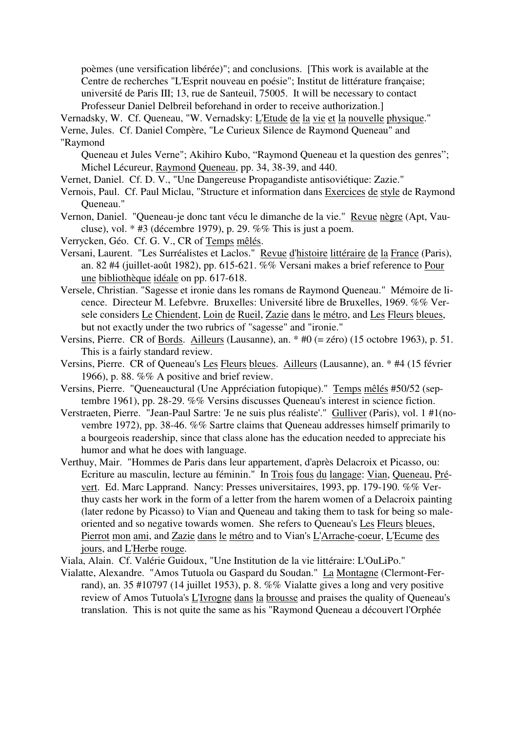poèmes (une versification libérée)"; and conclusions. [This work is available at the Centre de recherches "L'Esprit nouveau en poésie"; Institut de littérature française; université de Paris III; 13, rue de Santeuil, 75005. It will be necessary to contact Professeur Daniel Delbreil beforehand in order to receive authorization.]

Vernadsky, W. Cf. Queneau, "W. Vernadsky: L'Etude de la vie et la nouvelle physique."

Verne, Jules. Cf. Daniel Compère, "Le Curieux Silence de Raymond Queneau" and "Raymond

Queneau et Jules Verne"; Akihiro Kubo, "Raymond Queneau et la question des genres"; Michel Lécureur, Raymond Queneau, pp. 34, 38-39, and 440.

- Vernet, Daniel. Cf. D. V., "Une Dangereuse Propagandiste antisoviétique: Zazie."
- Vernois, Paul. Cf. Paul Miclau, "Structure et information dans Exercices de style de Raymond Queneau."
- Vernon, Daniel. "Queneau-je donc tant vécu le dimanche de la vie." Revue nègre (Apt, Vaucluse), vol. \* #3 (décembre 1979), p. 29. %% This is just a poem.

Verrycken, Géo. Cf. G. V., CR of Temps mêlés.

- Versani, Laurent. "Les Surréalistes et Laclos." Revue d'histoire littéraire de la France (Paris), an. 82 #4 (juillet-août 1982), pp. 615-621. %% Versani makes a brief reference to Pour une bibliothèque idéale on pp. 617-618.
- Versele, Christian. "Sagesse et ironie dans les romans de Raymond Queneau." Mémoire de licence. Directeur M. Lefebvre. Bruxelles: Université libre de Bruxelles, 1969. %% Versele considers Le Chiendent, Loin de Rueil, Zazie dans le métro, and Les Fleurs bleues, but not exactly under the two rubrics of "sagesse" and "ironie."
- Versins, Pierre. CR of Bords. Ailleurs (Lausanne), an. \* #0 (= zéro) (15 octobre 1963), p. 51. This is a fairly standard review.
- Versins, Pierre. CR of Queneau's Les Fleurs bleues. Ailleurs (Lausanne), an. \* #4 (15 février 1966), p. 88.  $\%$ % A positive and brief review.
- Versins, Pierre. "Queneauctural (Une Appréciation futopique)." Temps mêlés #50/52 (septembre 1961), pp. 28-29. %% Versins discusses Queneau's interest in science fiction.
- Verstraeten, Pierre. "Jean-Paul Sartre: 'Je ne suis plus réaliste'." Gulliver (Paris), vol. 1 #1(novembre 1972), pp. 38-46. %% Sartre claims that Queneau addresses himself primarily to a bourgeois readership, since that class alone has the education needed to appreciate his humor and what he does with language.
- Verthuy, Mair. "Hommes de Paris dans leur appartement, d'après Delacroix et Picasso, ou: Ecriture au masculin, lecture au féminin." In Trois fous du langage: Vian, Queneau, Prévert. Ed. Marc Lapprand. Nancy: Presses universitaires, 1993, pp. 179-190. %% Verthuy casts her work in the form of a letter from the harem women of a Delacroix painting (later redone by Picasso) to Vian and Queneau and taking them to task for being so maleoriented and so negative towards women. She refers to Queneau's Les Fleurs bleues, Pierrot mon ami, and Zazie dans le métro and to Vian's L'Arrache-coeur, L'Ecume des jours, and L'Herbe rouge.
- Viala, Alain. Cf. Valérie Guidoux, "Une Institution de la vie littéraire: L'OuLiPo."
- Vialatte, Alexandre. "Amos Tutuola ou Gaspard du Soudan." La Montagne (Clermont-Ferrand), an. 35 #10797 (14 juillet 1953), p. 8. %% Vialatte gives a long and very positive review of Amos Tutuola's L'Ivrogne dans la brousse and praises the quality of Queneau's translation. This is not quite the same as his "Raymond Queneau a découvert l'Orphée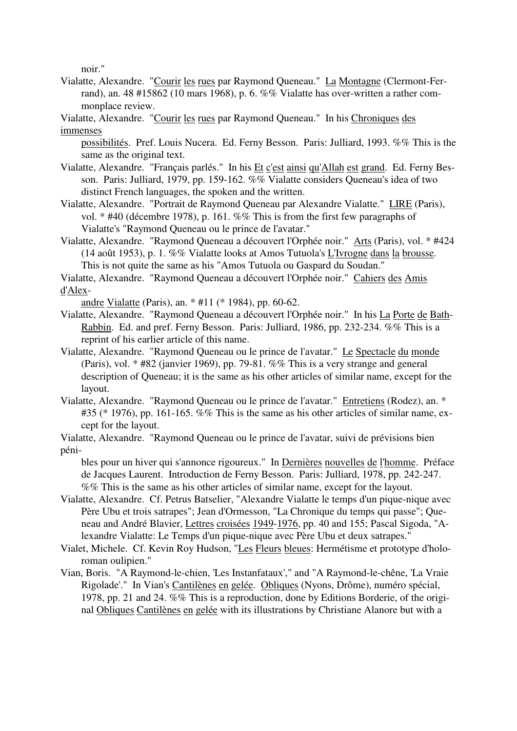noir."

- Vialatte, Alexandre. "Courir les rues par Raymond Queneau." La Montagne (Clermont-Ferrand), an. 48 #15862 (10 mars 1968), p. 6. %% Vialatte has over-written a rather commonplace review.
- Vialatte, Alexandre. "Courir les rues par Raymond Queneau." In his Chroniques des immenses
	- possibilités. Pref. Louis Nucera. Ed. Ferny Besson. Paris: Julliard, 1993. %% This is the same as the original text.
- Vialatte, Alexandre. "Français parlés." In his Et c'est ainsi qu'Allah est grand. Ed. Ferny Besson. Paris: Julliard, 1979, pp. 159-162. %% Vialatte considers Queneau's idea of two distinct French languages, the spoken and the written.
- Vialatte, Alexandre. "Portrait de Raymond Queneau par Alexandre Vialatte." LIRE (Paris), vol. \* #40 (décembre 1978), p. 161. %% This is from the first few paragraphs of Vialatte's "Raymond Queneau ou le prince de l'avatar."
- Vialatte, Alexandre. "Raymond Queneau a découvert l'Orphée noir." Arts (Paris), vol. \* #424 (14 août 1953), p. 1. %% Vialatte looks at Amos Tutuola's L'Ivrogne dans la brousse. This is not quite the same as his "Amos Tutuola ou Gaspard du Soudan."
- Vialatte, Alexandre. "Raymond Queneau a découvert l'Orphée noir." Cahiers des Amis d'Alex-

andre Vialatte (Paris), an. \* #11 (\* 1984), pp. 60-62.

- Vialatte, Alexandre. "Raymond Queneau a découvert l'Orphée noir." In his La Porte de Bath-Rabbin. Ed. and pref. Ferny Besson. Paris: Julliard, 1986, pp. 232-234. %% This is a reprint of his earlier article of this name.
- Vialatte, Alexandre. "Raymond Queneau ou le prince de l'avatar." Le Spectacle du monde (Paris), vol. \* #82 (janvier 1969), pp. 79-81. %% This is a very strange and general description of Queneau; it is the same as his other articles of similar name, except for the layout.
- Vialatte, Alexandre. "Raymond Queneau ou le prince de l'avatar." Entretiens (Rodez), an. \*  $#35$  (\* 1976), pp. 161-165. %% This is the same as his other articles of similar name, except for the layout.
- Vialatte, Alexandre. "Raymond Queneau ou le prince de l'avatar, suivi de prévisions bien péni-

bles pour un hiver qui s'annonce rigoureux." In Dernières nouvelles de l'homme. Préface de Jacques Laurent. Introduction de Ferny Besson. Paris: Julliard, 1978, pp. 242-247. %% This is the same as his other articles of similar name, except for the layout.

- Vialatte, Alexandre. Cf. Petrus Batselier, "Alexandre Vialatte le temps d'un pique-nique avec Père Ubu et trois satrapes"; Jean d'Ormesson, "La Chronique du temps qui passe"; Queneau and André Blavier, Lettres croisées 1949-1976, pp. 40 and 155; Pascal Sigoda, "Alexandre Vialatte: Le Temps d'un pique-nique avec Père Ubu et deux satrapes."
- Vialet, Michele. Cf. Kevin Roy Hudson, "Les Fleurs bleues: Hermétisme et prototype d'holoroman oulipien."
- Vian, Boris. "A Raymond-le-chien, 'Les Instanfataux'," and "A Raymond-le-chêne, 'La Vraie Rigolade'." In Vian's Cantilènes en gelée. Obliques (Nyons, Drôme), numéro spécial, 1978, pp. 21 and 24. %% This is a reproduction, done by Editions Borderie, of the original Obliques Cantilènes en gelée with its illustrations by Christiane Alanore but with a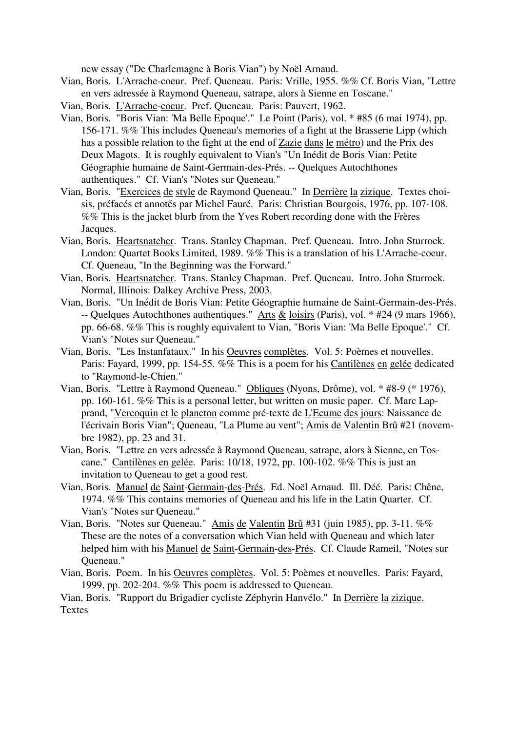new essay ("De Charlemagne à Boris Vian") by Noël Arnaud.

- Vian, Boris. L'Arrache-coeur. Pref. Queneau. Paris: Vrille, 1955. %% Cf. Boris Vian, "Lettre en vers adressée à Raymond Queneau, satrape, alors à Sienne en Toscane."
- Vian, Boris. L'Arrache-coeur. Pref. Queneau. Paris: Pauvert, 1962.
- Vian, Boris. "Boris Vian: 'Ma Belle Epoque'." Le Point (Paris), vol. \* #85 (6 mai 1974), pp. 156-171. %% This includes Queneau's memories of a fight at the Brasserie Lipp (which has a possible relation to the fight at the end of Zazie dans le métro) and the Prix des Deux Magots. It is roughly equivalent to Vian's "Un Inédit de Boris Vian: Petite Géographie humaine de Saint-Germain-des-Prés. -- Quelques Autochthones authentiques." Cf. Vian's "Notes sur Queneau."
- Vian, Boris. "Exercices de style de Raymond Queneau." In Derrière la zizique. Textes choisis, préfacés et annotés par Michel Fauré. Paris: Christian Bourgois, 1976, pp. 107-108. %% This is the jacket blurb from the Yves Robert recording done with the Frères Jacques.
- Vian, Boris. Heartsnatcher. Trans. Stanley Chapman. Pref. Queneau. Intro. John Sturrock. London: Quartet Books Limited, 1989. %% This is a translation of his L'Arrache-coeur. Cf. Queneau, "In the Beginning was the Forward."
- Vian, Boris. Heartsnatcher. Trans. Stanley Chapman. Pref. Queneau. Intro. John Sturrock. Normal, Illinois: Dalkey Archive Press, 2003.
- Vian, Boris. "Un Inédit de Boris Vian: Petite Géographie humaine de Saint-Germain-des-Prés. -- Quelques Autochthones authentiques." Arts & loisirs (Paris), vol. \* #24 (9 mars 1966), pp. 66-68. %% This is roughly equivalent to Vian, "Boris Vian: 'Ma Belle Epoque'." Cf. Vian's "Notes sur Queneau."
- Vian, Boris. "Les Instanfataux." In his Oeuvres complètes. Vol. 5: Poèmes et nouvelles. Paris: Fayard, 1999, pp. 154-55. %% This is a poem for his Cantilènes en gelée dedicated to "Raymond-le-Chien."
- Vian, Boris. "Lettre à Raymond Queneau." Obliques (Nyons, Drôme), vol. \* #8-9 (\* 1976), pp. 160-161. %% This is a personal letter, but written on music paper. Cf. Marc Lapprand, "Vercoquin et le plancton comme pré-texte de L'Ecume des jours: Naissance de l'écrivain Boris Vian"; Queneau, "La Plume au vent"; Amis de Valentin Brû #21 (novembre 1982), pp. 23 and 31.
- Vian, Boris. "Lettre en vers adressée à Raymond Queneau, satrape, alors à Sienne, en Toscane." Cantilènes en gelée. Paris: 10/18, 1972, pp. 100-102. %% This is just an invitation to Queneau to get a good rest.
- Vian, Boris. Manuel de Saint-Germain-des-Prés. Ed. Noël Arnaud. Ill. Déé. Paris: Chêne, 1974. %% This contains memories of Queneau and his life in the Latin Quarter. Cf. Vian's "Notes sur Queneau."
- Vian, Boris. "Notes sur Queneau." Amis de Valentin Brû #31 (juin 1985), pp. 3-11. %% These are the notes of a conversation which Vian held with Queneau and which later helped him with his Manuel de Saint-Germain-des-Prés. Cf. Claude Rameil, "Notes sur Queneau."
- Vian, Boris. Poem. In his Oeuvres complètes. Vol. 5: Poèmes et nouvelles. Paris: Fayard, 1999, pp. 202-204. %% This poem is addressed to Queneau.

Vian, Boris. "Rapport du Brigadier cycliste Zéphyrin Hanvélo." In Derrière la zizique. Textes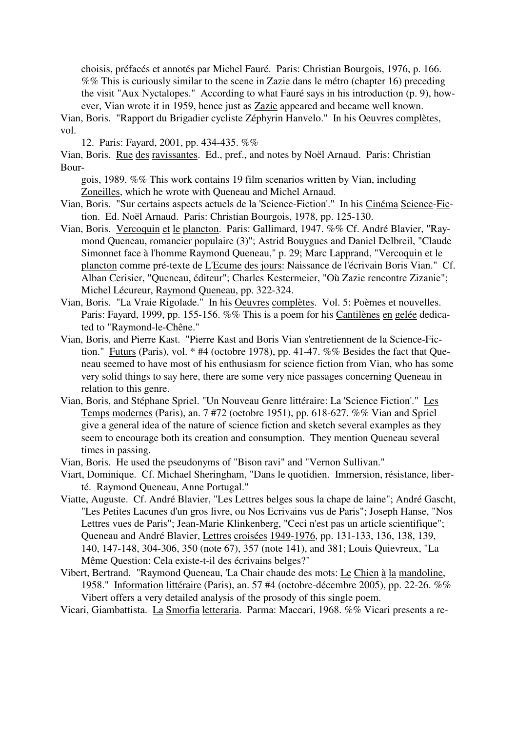choisis, préfacés et annotés par Michel Fauré. Paris: Christian Bourgois, 1976, p. 166. %% This is curiously similar to the scene in Zazie dans le métro (chapter 16) preceding the visit "Aux Nyctalopes." According to what Fauré says in his introduction (p. 9), however, Vian wrote it in 1959, hence just as Zazie appeared and became well known.

Vian, Boris. "Rapport du Brigadier cycliste Zéphyrin Hanvelo." In his Oeuvres complètes, vol.

12. Paris: Fayard, 2001, pp. 434-435. %%

Vian, Boris. Rue des ravissantes. Ed., pref., and notes by Noël Arnaud. Paris: Christian Bour-

gois, 1989. %% This work contains 19 film scenarios written by Vian, including Zoneilles, which he wrote with Queneau and Michel Arnaud.

Vian, Boris. "Sur certains aspects actuels de la 'Science-Fiction'." In his Cinéma Science-Fiction. Ed. Noël Arnaud. Paris: Christian Bourgois, 1978, pp. 125-130.

- Vian, Boris. Vercoquin et le plancton. Paris: Gallimard, 1947. %% Cf. André Blavier, "Raymond Queneau, romancier populaire (3)"; Astrid Bouygues and Daniel Delbreil, "Claude Simonnet face à l'homme Raymond Queneau," p. 29; Marc Lapprand, "Vercoquin et le plancton comme pré-texte de L'Ecume des jours: Naissance de l'écrivain Boris Vian." Cf. Alban Cerisier, "Queneau, éditeur"; Charles Kestermeier, "Où Zazie rencontre Zizanie"; Michel Lécureur, Raymond Queneau, pp. 322-324.
- Vian, Boris. "La Vraie Rigolade." In his Oeuvres complètes. Vol. 5: Poèmes et nouvelles. Paris: Fayard, 1999, pp. 155-156. %% This is a poem for his Cantilènes en gelée dedicated to "Raymond-le-Chêne."
- Vian, Boris, and Pierre Kast. "Pierre Kast and Boris Vian s'entretiennent de la Science-Fiction." Futurs (Paris), vol. \* #4 (octobre 1978), pp. 41-47. %% Besides the fact that Queneau seemed to have most of his enthusiasm for science fiction from Vian, who has some very solid things to say here, there are some very nice passages concerning Queneau in relation to this genre.
- Vian, Boris, and Stéphane Spriel. "Un Nouveau Genre littéraire: La 'Science Fiction'." Les Temps modernes (Paris), an. 7 #72 (octobre 1951), pp. 618-627. %% Vian and Spriel give a general idea of the nature of science fiction and sketch several examples as they seem to encourage both its creation and consumption. They mention Queneau several times in passing.
- Vian, Boris. He used the pseudonyms of "Bison ravi" and "Vernon Sullivan."
- Viart, Dominique. Cf. Michael Sheringham, "Dans le quotidien. Immersion, résistance, liberté. Raymond Queneau, Anne Portugal."
- Viatte, Auguste. Cf. André Blavier, "Les Lettres belges sous la chape de laine"; André Gascht, "Les Petites Lacunes d'un gros livre, ou Nos Ecrivains vus de Paris"; Joseph Hanse, "Nos Lettres vues de Paris"; Jean-Marie Klinkenberg, "Ceci n'est pas un article scientifique"; Queneau and André Blavier, Lettres croisées 1949-1976, pp. 131-133, 136, 138, 139, 140, 147-148, 304-306, 350 (note 67), 357 (note 141), and 381; Louis Quievreux, "La Même Question: Cela existe-t-il des écrivains belges?"
- Vibert, Bertrand. "Raymond Queneau, 'La Chair chaude des mots: Le Chien à la mandoline, 1958." Information littéraire (Paris), an. 57 #4 (octobre-décembre 2005), pp. 22-26. %% Vibert offers a very detailed analysis of the prosody of this single poem.

Vicari, Giambattista. La Smorfia letteraria. Parma: Maccari, 1968. %% Vicari presents a re-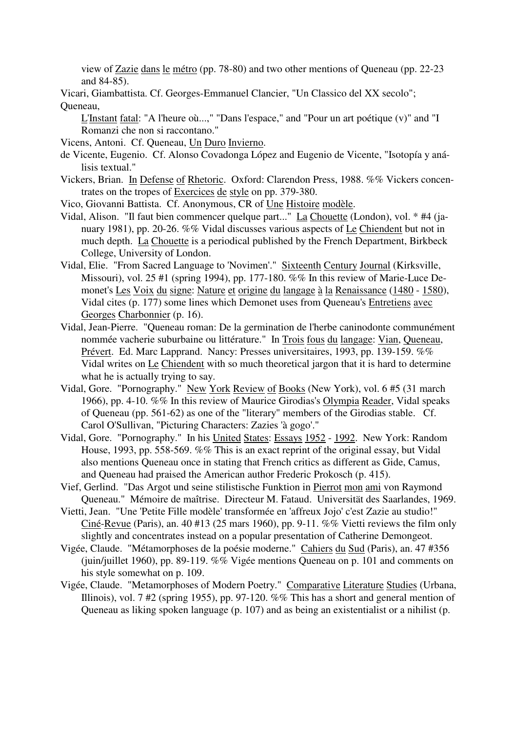view of Zazie dans le métro (pp. 78-80) and two other mentions of Queneau (pp. 22-23 and 84-85).

Vicari, Giambattista. Cf. Georges-Emmanuel Clancier, "Un Classico del XX secolo"; Queneau,

L'Instant fatal: "A l'heure où...," "Dans l'espace," and "Pour un art poétique (v)" and "I Romanzi che non si raccontano."

Vicens, Antoni. Cf. Queneau, Un Duro Invierno.

- de Vicente, Eugenio. Cf. Alonso Covadonga López and Eugenio de Vicente, "Isotopía y análisis textual."
- Vickers, Brian. In Defense of Rhetoric. Oxford: Clarendon Press, 1988. %% Vickers concentrates on the tropes of Exercices de style on pp. 379-380.
- Vico, Giovanni Battista. Cf. Anonymous, CR of Une Histoire modèle.
- Vidal, Alison. "Il faut bien commencer quelque part..." La Chouette (London), vol. \* #4 (january 1981), pp. 20-26. %% Vidal discusses various aspects of Le Chiendent but not in much depth. La Chouette is a periodical published by the French Department, Birkbeck College, University of London.
- Vidal, Elie. "From Sacred Language to 'Novimen'." Sixteenth Century Journal (Kirksville, Missouri), vol. 25 #1 (spring 1994), pp. 177-180. %% In this review of Marie-Luce Demonet's Les Voix du signe: Nature et origine du langage à la Renaissance (1480 - 1580), Vidal cites (p. 177) some lines which Demonet uses from Queneau's Entretiens avec Georges Charbonnier (p. 16).
- Vidal, Jean-Pierre. "Queneau roman: De la germination de l'herbe caninodonte communément nommée vacherie suburbaine ou littérature." In Trois fous du langage: Vian, Queneau, Prévert. Ed. Marc Lapprand. Nancy: Presses universitaires, 1993, pp. 139-159. %% Vidal writes on Le Chiendent with so much theoretical jargon that it is hard to determine what he is actually trying to say.
- Vidal, Gore. "Pornography." New York Review of Books (New York), vol. 6 #5 (31 march 1966), pp. 4-10. %% In this review of Maurice Girodias's Olympia Reader, Vidal speaks of Queneau (pp. 561-62) as one of the "literary" members of the Girodias stable. Cf. Carol O'Sullivan, "Picturing Characters: Zazies 'à gogo'."
- Vidal, Gore. "Pornography." In his United States: Essays 1952 1992. New York: Random House, 1993, pp. 558-569. %% This is an exact reprint of the original essay, but Vidal also mentions Queneau once in stating that French critics as different as Gide, Camus, and Queneau had praised the American author Frederic Prokosch (p. 415).
- Vief, Gerlind. "Das Argot und seine stilistische Funktion in Pierrot mon ami von Raymond Queneau." Mémoire de maîtrise. Directeur M. Fataud. Universität des Saarlandes, 1969.
- Vietti, Jean. "Une 'Petite Fille modèle' transformée en 'affreux Jojo' c'est Zazie au studio!" Ciné-Revue (Paris), an. 40 #13 (25 mars 1960), pp. 9-11. %% Vietti reviews the film only slightly and concentrates instead on a popular presentation of Catherine Demongeot.
- Vigée, Claude. "Métamorphoses de la poésie moderne." Cahiers du Sud (Paris), an. 47 #356 (juin/juillet 1960), pp. 89-119. %% Vigée mentions Queneau on p. 101 and comments on his style somewhat on p. 109.
- Vigée, Claude. "Metamorphoses of Modern Poetry." Comparative Literature Studies (Urbana, Illinois), vol. 7 #2 (spring 1955), pp. 97-120. %% This has a short and general mention of Queneau as liking spoken language (p. 107) and as being an existentialist or a nihilist (p.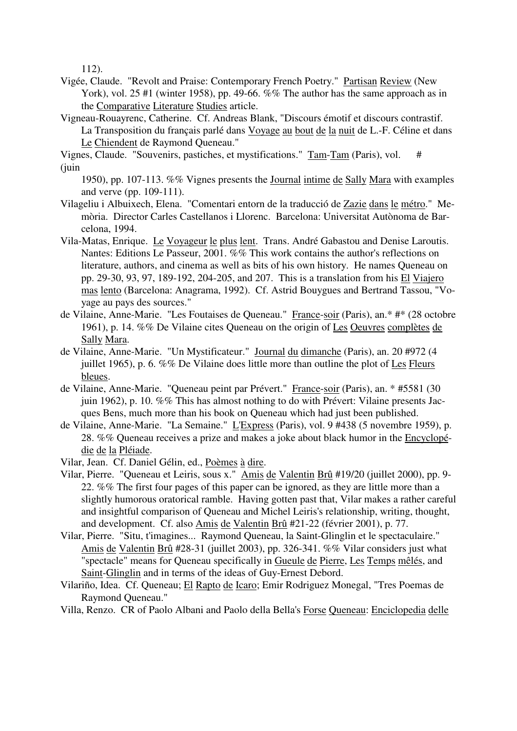112).

- Vigée, Claude. "Revolt and Praise: Contemporary French Poetry." Partisan Review (New York), vol. 25 #1 (winter 1958), pp. 49-66. %% The author has the same approach as in the Comparative Literature Studies article.
- Vigneau-Rouayrenc, Catherine. Cf. Andreas Blank, "Discours émotif et discours contrastif. La Transposition du français parlé dans Voyage au bout de la nuit de L.-F. Céline et dans Le Chiendent de Raymond Queneau."
- Vignes, Claude. "Souvenirs, pastiches, et mystifications." Tam-Tam (Paris), vol. # (juin
	- 1950), pp. 107-113. %% Vignes presents the Journal intime de Sally Mara with examples and verve (pp. 109-111).
- Vilageliu i Albuixech, Elena. "Comentari entorn de la traducció de Zazie dans le métro." Memòria. Director Carles Castellanos i Llorenc. Barcelona: Universitat Autònoma de Barcelona, 1994.
- Vila-Matas, Enrique. Le Voyageur le plus lent. Trans. André Gabastou and Denise Laroutis. Nantes: Editions Le Passeur, 2001. %% This work contains the author's reflections on literature, authors, and cinema as well as bits of his own history. He names Queneau on pp. 29-30, 93, 97, 189-192, 204-205, and 207. This is a translation from his El Viajero mas lento (Barcelona: Anagrama, 1992). Cf. Astrid Bouygues and Bertrand Tassou, "Voyage au pays des sources."
- de Vilaine, Anne-Marie. "Les Foutaises de Queneau." France-soir (Paris), an.\* #\* (28 octobre 1961), p. 14. %% De Vilaine cites Queneau on the origin of Les Oeuvres complètes de Sally Mara.
- de Vilaine, Anne-Marie. "Un Mystificateur." Journal du dimanche (Paris), an. 20 #972 (4 juillet 1965), p. 6. %% De Vilaine does little more than outline the plot of Les Fleurs bleues.
- de Vilaine, Anne-Marie. "Queneau peint par Prévert." France-soir (Paris), an. \* #5581 (30 juin 1962), p. 10. %% This has almost nothing to do with Prévert: Vilaine presents Jacques Bens, much more than his book on Queneau which had just been published.
- de Vilaine, Anne-Marie. "La Semaine." L'Express (Paris), vol. 9 #438 (5 novembre 1959), p. 28. %% Queneau receives a prize and makes a joke about black humor in the Encyclopédie de la Pléiade.
- Vilar, Jean. Cf. Daniel Gélin, ed., Poèmes à dire.
- Vilar, Pierre. "Queneau et Leiris, sous x." Amis de Valentin Brû #19/20 (juillet 2000), pp. 9- 22. %% The first four pages of this paper can be ignored, as they are little more than a slightly humorous oratorical ramble. Having gotten past that, Vilar makes a rather careful and insightful comparison of Queneau and Michel Leiris's relationship, writing, thought, and development. Cf. also Amis de Valentin Brû #21-22 (février 2001), p. 77.
- Vilar, Pierre. "Situ, t'imagines... Raymond Queneau, la Saint-Glinglin et le spectaculaire." Amis de Valentin Brû #28-31 (juillet 2003), pp. 326-341. %% Vilar considers just what "spectacle" means for Queneau specifically in Gueule de Pierre, Les Temps mêlés, and Saint-Glinglin and in terms of the ideas of Guy-Ernest Debord.
- Vilariño, Idea. Cf. Queneau; El Rapto de Icaro; Emir Rodriguez Monegal, "Tres Poemas de Raymond Queneau."

Villa, Renzo. CR of Paolo Albani and Paolo della Bella's Forse Queneau: Enciclopedia delle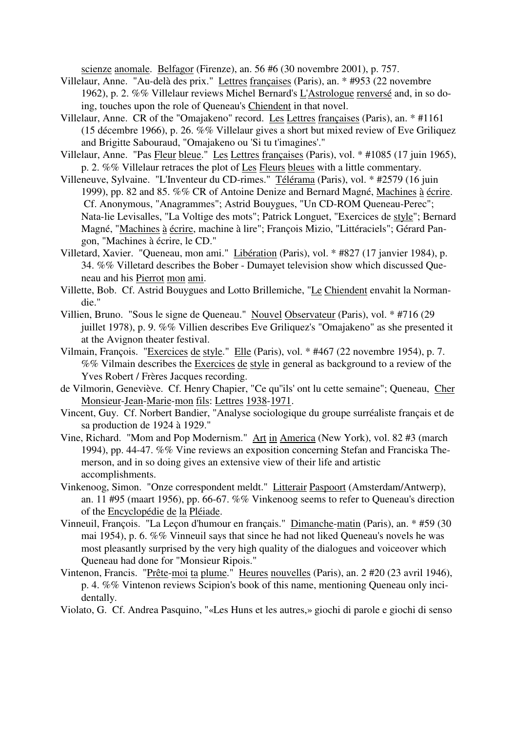scienze anomale. Belfagor (Firenze), an. 56 #6 (30 novembre 2001), p. 757.

- Villelaur, Anne. "Au-delà des prix." Lettres françaises (Paris), an. \* #953 (22 novembre 1962), p. 2. %% Villelaur reviews Michel Bernard's L'Astrologue renversé and, in so doing, touches upon the role of Queneau's Chiendent in that novel.
- Villelaur, Anne. CR of the "Omajakeno" record. Les Lettres françaises (Paris), an. \* #1161 (15 décembre 1966), p. 26. %% Villelaur gives a short but mixed review of Eve Griliquez and Brigitte Sabouraud, "Omajakeno ou 'Si tu t'imagines'."
- Villelaur, Anne. "Pas Fleur bleue." Les Lettres françaises (Paris), vol. \* #1085 (17 juin 1965), p. 2. %% Villelaur retraces the plot of Les Fleurs bleues with a little commentary.
- Villeneuve, Sylvaine. "L'Inventeur du CD-rimes." Télérama (Paris), vol. \* #2579 (16 juin 1999), pp. 82 and 85. %% CR of Antoine Denize and Bernard Magné, Machines à écrire. Cf. Anonymous, "Anagrammes"; Astrid Bouygues, "Un CD-ROM Queneau-Perec"; Nata-lie Levisalles, "La Voltige des mots"; Patrick Longuet, "Exercices de style"; Bernard Magné, "Machines à écrire, machine à lire"; François Mizio, "Littéraciels"; Gérard Pangon, "Machines à écrire, le CD."
- Villetard, Xavier. "Queneau, mon ami." Libération (Paris), vol. \* #827 (17 janvier 1984), p. 34. %% Villetard describes the Bober - Dumayet television show which discussed Queneau and his Pierrot mon ami.
- Villette, Bob. Cf. Astrid Bouygues and Lotto Brillemiche, "Le Chiendent envahit la Normandie."
- Villien, Bruno. "Sous le signe de Queneau." Nouvel Observateur (Paris), vol. \* #716 (29 juillet 1978), p. 9. %% Villien describes Eve Griliquez's "Omajakeno" as she presented it at the Avignon theater festival.
- Vilmain, François. "Exercices de style." Elle (Paris), vol. \* #467 (22 novembre 1954), p. 7. %% Vilmain describes the Exercices de style in general as background to a review of the Yves Robert / Frères Jacques recording.
- de Vilmorin, Geneviève. Cf. Henry Chapier, "Ce qu''ils' ont lu cette semaine"; Queneau, Cher Monsieur-Jean-Marie-mon fils: Lettres 1938-1971.
- Vincent, Guy. Cf. Norbert Bandier, "Analyse sociologique du groupe surréaliste français et de sa production de 1924 à 1929."
- Vine, Richard. "Mom and Pop Modernism." Art in America (New York), vol. 82 #3 (march 1994), pp. 44-47. %% Vine reviews an exposition concerning Stefan and Franciska Themerson, and in so doing gives an extensive view of their life and artistic accomplishments.
- Vinkenoog, Simon. "Onze correspondent meldt." Litterair Paspoort (Amsterdam/Antwerp), an. 11 #95 (maart 1956), pp. 66-67. %% Vinkenoog seems to refer to Queneau's direction of the Encyclopédie de la Pléiade.
- Vinneuil, François. "La Leçon d'humour en français." Dimanche-matin (Paris), an. \* #59 (30 mai 1954), p. 6. %% Vinneuil says that since he had not liked Queneau's novels he was most pleasantly surprised by the very high quality of the dialogues and voiceover which Queneau had done for "Monsieur Ripois."
- Vintenon, Francis. "Prête-moi ta plume." Heures nouvelles (Paris), an. 2 #20 (23 avril 1946), p. 4. %% Vintenon reviews Scipion's book of this name, mentioning Queneau only incidentally.
- Violato, G. Cf. Andrea Pasquino, "«Les Huns et les autres,» giochi di parole e giochi di senso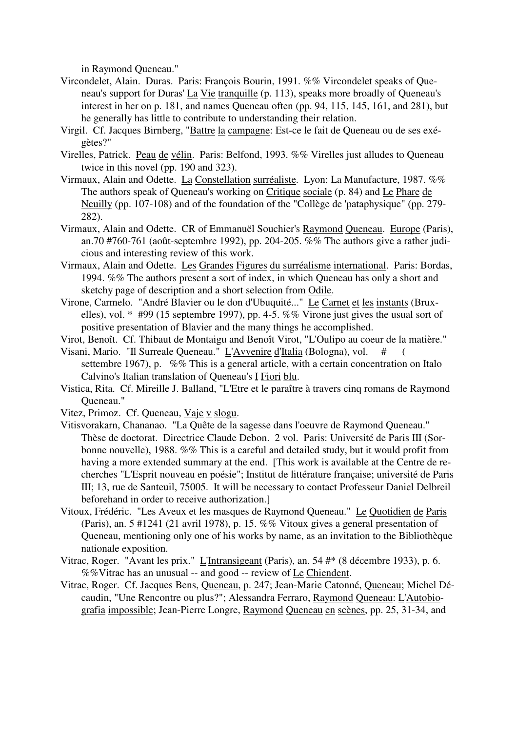in Raymond Queneau."

- Vircondelet, Alain. Duras. Paris: François Bourin, 1991. %% Vircondelet speaks of Queneau's support for Duras' La Vie tranquille (p. 113), speaks more broadly of Queneau's interest in her on p. 181, and names Queneau often (pp. 94, 115, 145, 161, and 281), but he generally has little to contribute to understanding their relation.
- Virgil. Cf. Jacques Birnberg, "Battre la campagne: Est-ce le fait de Queneau ou de ses exégètes?"
- Virelles, Patrick. Peau de vélin. Paris: Belfond, 1993. %% Virelles just alludes to Queneau twice in this novel (pp. 190 and 323).
- Virmaux, Alain and Odette. La Constellation surréaliste. Lyon: La Manufacture, 1987. %% The authors speak of Queneau's working on Critique sociale (p. 84) and Le Phare de Neuilly (pp. 107-108) and of the foundation of the "Collège de 'pataphysique" (pp. 279- 282).
- Virmaux, Alain and Odette. CR of Emmanuël Souchier's Raymond Queneau. Europe (Paris), an.70 #760-761 (août-septembre 1992), pp. 204-205. %% The authors give a rather judicious and interesting review of this work.
- Virmaux, Alain and Odette. Les Grandes Figures du surréalisme international. Paris: Bordas, 1994. %% The authors present a sort of index, in which Queneau has only a short and sketchy page of description and a short selection from Odile.
- Virone, Carmelo. "André Blavier ou le don d'Ubuquité..." Le Carnet et les instants (Bruxelles), vol. \* #99 (15 septembre 1997), pp. 4-5. %% Virone just gives the usual sort of positive presentation of Blavier and the many things he accomplished.
- Virot, Benoît. Cf. Thibaut de Montaigu and Benoît Virot, "L'Oulipo au coeur de la matière."
- Visani, Mario. "Il Surreale Queneau." L'Avvenire d'Italia (Bologna), vol. # ( settembre 1967), p. %% This is a general article, with a certain concentration on Italo Calvino's Italian translation of Queneau's I Fiori blu.
- Vistica, Rita. Cf. Mireille J. Balland, "L'Etre et le paraître à travers cinq romans de Raymond Queneau."
- Vitez, Primoz. Cf. Queneau, Vaje v slogu.
- Vitisvorakarn, Chananao. "La Quête de la sagesse dans l'oeuvre de Raymond Queneau." Thèse de doctorat. Directrice Claude Debon. 2 vol. Paris: Université de Paris III (Sorbonne nouvelle), 1988. %% This is a careful and detailed study, but it would profit from having a more extended summary at the end. [This work is available at the Centre de recherches "L'Esprit nouveau en poésie"; Institut de littérature française; université de Paris III; 13, rue de Santeuil, 75005. It will be necessary to contact Professeur Daniel Delbreil beforehand in order to receive authorization.]
- Vitoux, Frédéric. "Les Aveux et les masques de Raymond Queneau." Le Quotidien de Paris (Paris), an. 5 #1241 (21 avril 1978), p. 15. %% Vitoux gives a general presentation of Queneau, mentioning only one of his works by name, as an invitation to the Bibliothèque nationale exposition.
- Vitrac, Roger. "Avant les prix." L'Intransigeant (Paris), an. 54 #\* (8 décembre 1933), p. 6. %%Vitrac has an unusual -- and good -- review of Le Chiendent.
- Vitrac, Roger. Cf. Jacques Bens, Queneau, p. 247; Jean-Marie Catonné, Queneau; Michel Décaudin, "Une Rencontre ou plus?"; Alessandra Ferraro, Raymond Queneau: L'Autobiografia impossible; Jean-Pierre Longre, Raymond Queneau en scènes, pp. 25, 31-34, and